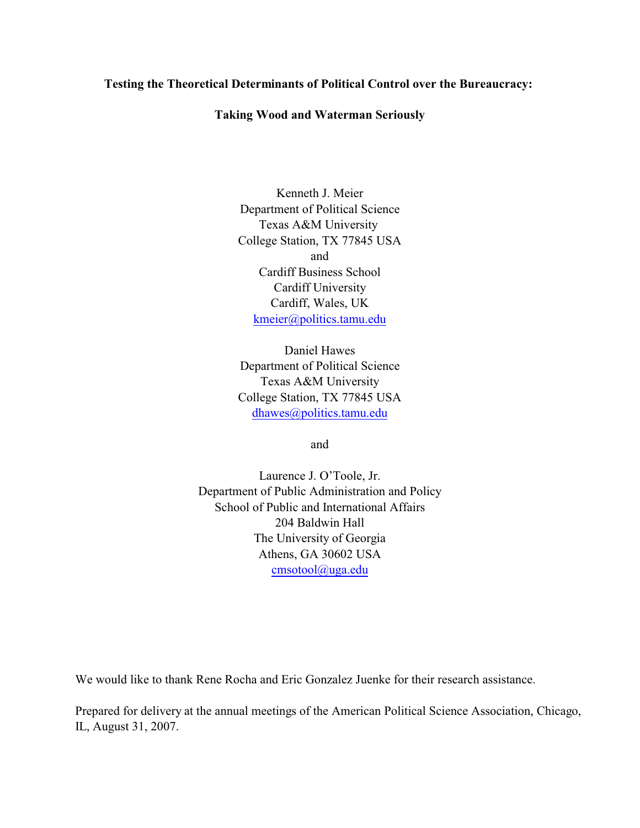# **Testing the Theoretical Determinants of Political Control over the Bureaucracy:**

## **Taking Wood and Waterman Seriously**

Kenneth J. Meier Department of Political Science Texas A&M University College Station, TX 77845 USA and Cardiff Business School Cardiff University Cardiff, Wales, UK [kmeier@politics.tamu.edu](mailto:kmeier@politics.tamu.edu)

Daniel Hawes Department of Political Science Texas A&M University College Station, TX 77845 USA [dhawes@politics.tamu.edu](mailto:dhawes@politics.tamu.edu)

and

Laurence J. O'Toole, Jr. Department of Public Administration and Policy School of Public and International Affairs 204 Baldwin Hall The University of Georgia Athens, GA 30602 USA [cmsotool@uga.edu](mailto:cmsotool@uga.edu)

We would like to thank Rene Rocha and Eric Gonzalez Juenke for their research assistance.

Prepared for delivery at the annual meetings of the American Political Science Association, Chicago, IL, August 31, 2007.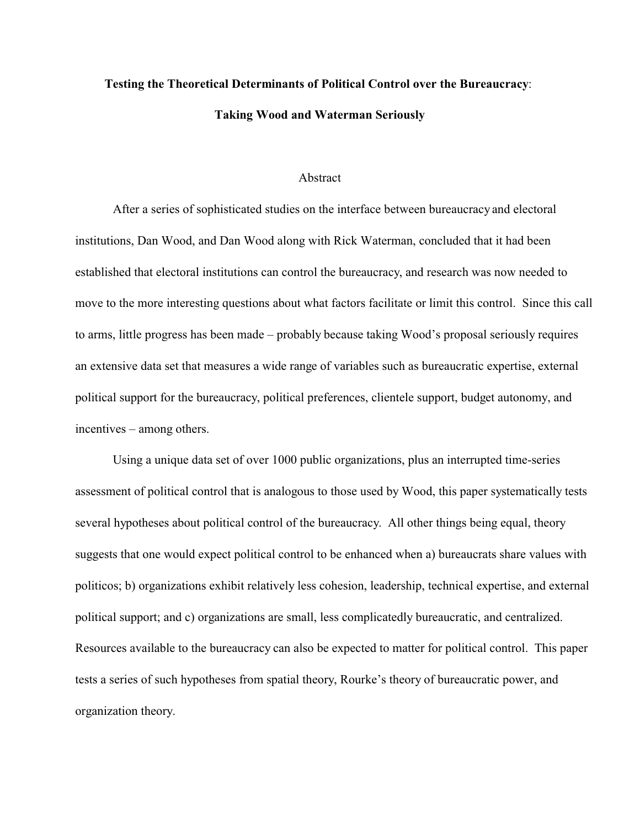# **Testing the Theoretical Determinants of Political Control over the Bureaucracy**: **Taking Wood and Waterman Seriously**

#### Abstract

After a series of sophisticated studies on the interface between bureaucracy and electoral institutions, Dan Wood, and Dan Wood along with Rick Waterman, concluded that it had been established that electoral institutions can control the bureaucracy, and research was now needed to move to the more interesting questions about what factors facilitate or limit this control. Since this call to arms, little progress has been made – probably because taking Wood's proposal seriously requires an extensive data set that measures a wide range of variables such as bureaucratic expertise, external political support for the bureaucracy, political preferences, clientele support, budget autonomy, and incentives – among others.

Using a unique data set of over 1000 public organizations, plus an interrupted time-series assessment of political control that is analogous to those used by Wood, this paper systematically tests several hypotheses about political control of the bureaucracy. All other things being equal, theory suggests that one would expect political control to be enhanced when a) bureaucrats share values with politicos; b) organizations exhibit relatively less cohesion, leadership, technical expertise, and external political support; and c) organizations are small, less complicatedly bureaucratic, and centralized. Resources available to the bureaucracy can also be expected to matter for political control. This paper tests a series of such hypotheses from spatial theory, Rourke's theory of bureaucratic power, and organization theory.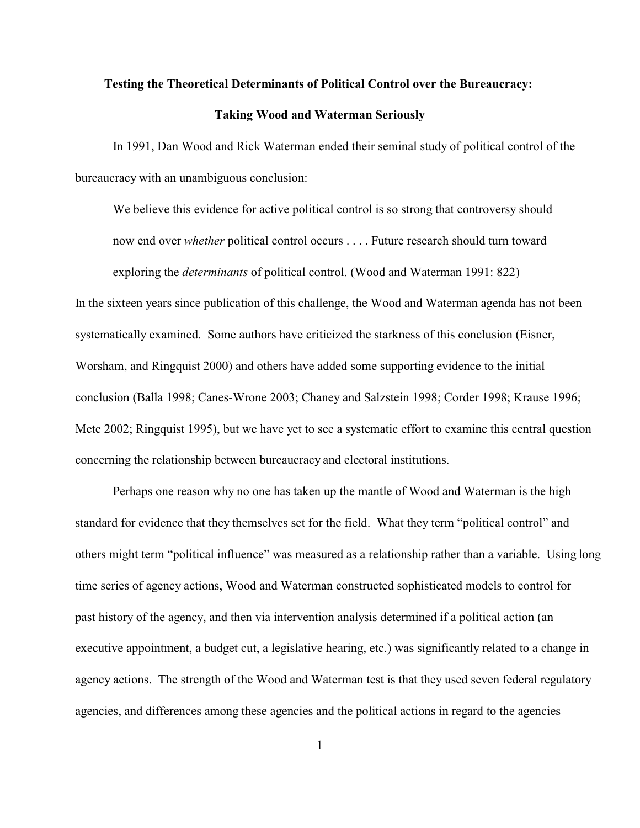#### **Testing the Theoretical Determinants of Political Control over the Bureaucracy:**

#### **Taking Wood and Waterman Seriously**

In 1991, Dan Wood and Rick Waterman ended their seminal study of political control of the bureaucracy with an unambiguous conclusion:

We believe this evidence for active political control is so strong that controversy should now end over *whether* political control occurs . . . . Future research should turn toward exploring the *determinants* of political control. (Wood and Waterman 1991: 822)

In the sixteen years since publication of this challenge, the Wood and Waterman agenda has not been systematically examined. Some authors have criticized the starkness of this conclusion (Eisner, Worsham, and Ringquist 2000) and others have added some supporting evidence to the initial conclusion (Balla 1998; Canes-Wrone 2003; Chaney and Salzstein 1998; Corder 1998; Krause 1996; Mete 2002; Ringquist 1995), but we have yet to see a systematic effort to examine this central question concerning the relationship between bureaucracy and electoral institutions.

Perhaps one reason why no one has taken up the mantle of Wood and Waterman is the high standard for evidence that they themselves set for the field. What they term "political control" and others might term "political influence" was measured as a relationship rather than a variable. Using long time series of agency actions, Wood and Waterman constructed sophisticated models to control for past history of the agency, and then via intervention analysis determined if a political action (an executive appointment, a budget cut, a legislative hearing, etc.) was significantly related to a change in agency actions. The strength of the Wood and Waterman test is that they used seven federal regulatory agencies, and differences among these agencies and the political actions in regard to the agencies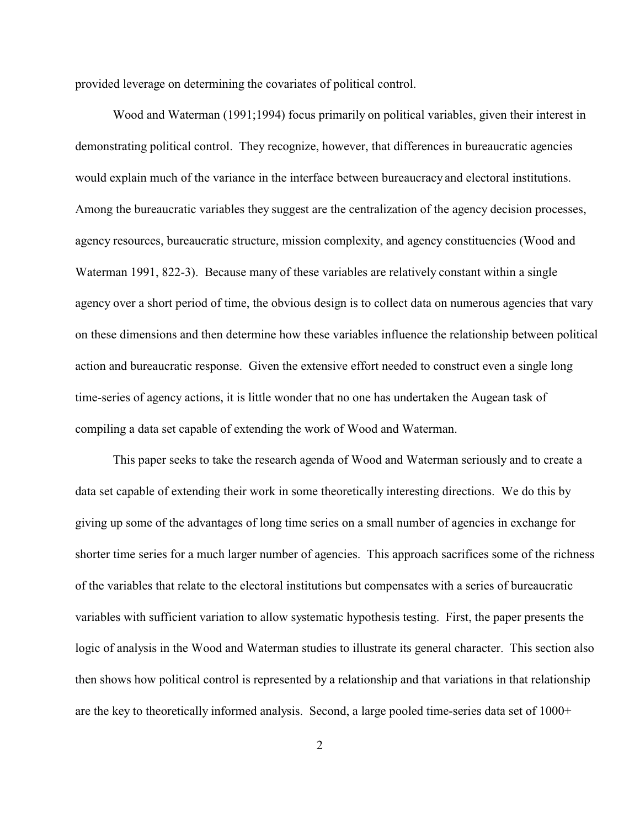provided leverage on determining the covariates of political control.

Wood and Waterman (1991;1994) focus primarily on political variables, given their interest in demonstrating political control. They recognize, however, that differences in bureaucratic agencies would explain much of the variance in the interface between bureaucracy and electoral institutions. Among the bureaucratic variables they suggest are the centralization of the agency decision processes, agency resources, bureaucratic structure, mission complexity, and agency constituencies (Wood and Waterman 1991, 822-3). Because many of these variables are relatively constant within a single agency over a short period of time, the obvious design is to collect data on numerous agencies that vary on these dimensions and then determine how these variables influence the relationship between political action and bureaucratic response. Given the extensive effort needed to construct even a single long time-series of agency actions, it is little wonder that no one has undertaken the Augean task of compiling a data set capable of extending the work of Wood and Waterman.

This paper seeks to take the research agenda of Wood and Waterman seriously and to create a data set capable of extending their work in some theoretically interesting directions. We do this by giving up some of the advantages of long time series on a small number of agencies in exchange for shorter time series for a much larger number of agencies. This approach sacrifices some of the richness of the variables that relate to the electoral institutions but compensates with a series of bureaucratic variables with sufficient variation to allow systematic hypothesis testing. First, the paper presents the logic of analysis in the Wood and Waterman studies to illustrate its general character. This section also then shows how political control is represented by a relationship and that variations in that relationship are the key to theoretically informed analysis. Second, a large pooled time-series data set of 1000+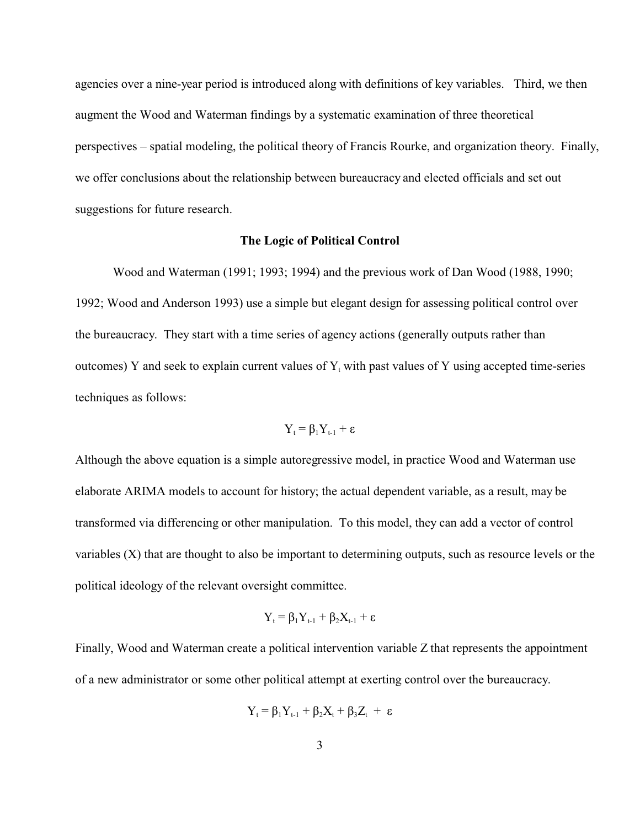agencies over a nine-year period is introduced along with definitions of key variables. Third, we then augment the Wood and Waterman findings by a systematic examination of three theoretical perspectives – spatial modeling, the political theory of Francis Rourke, and organization theory. Finally, we offer conclusions about the relationship between bureaucracy and elected officials and set out suggestions for future research.

#### **The Logic of Political Control**

Wood and Waterman (1991; 1993; 1994) and the previous work of Dan Wood (1988, 1990; 1992; Wood and Anderson 1993) use a simple but elegant design for assessing political control over the bureaucracy. They start with a time series of agency actions (generally outputs rather than outcomes) Y and seek to explain current values of  $Y_t$  with past values of Y using accepted time-series techniques as follows:

$$
Y_{t} = \beta_{1}Y_{t\text{-}1} + \epsilon
$$

Although the above equation is a simple autoregressive model, in practice Wood and Waterman use elaborate ARIMA models to account for history; the actual dependent variable, as a result, may be transformed via differencing or other manipulation. To this model, they can add a vector of control variables (X) that are thought to also be important to determining outputs, such as resource levels or the political ideology of the relevant oversight committee.

$$
Y_t = \beta_1 Y_{t-1} + \beta_2 X_{t-1} + \epsilon
$$

Finally, Wood and Waterman create a political intervention variable Z that represents the appointment of a new administrator or some other political attempt at exerting control over the bureaucracy.

$$
Y_t = \beta_1 Y_{t\text{-}1} + \beta_2 X_t + \beta_3 Z_t + \epsilon
$$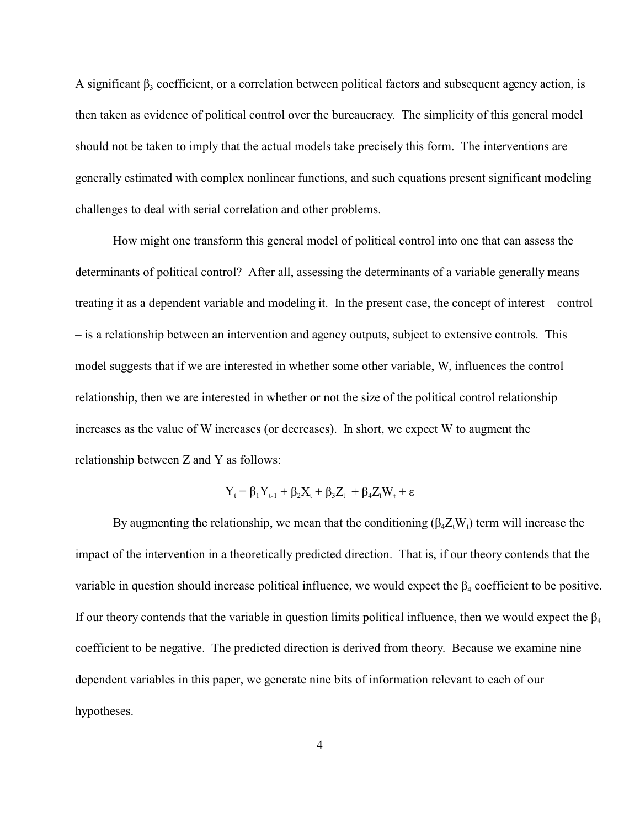A significant  $\beta_3$  coefficient, or a correlation between political factors and subsequent agency action, is then taken as evidence of political control over the bureaucracy. The simplicity of this general model should not be taken to imply that the actual models take precisely this form. The interventions are generally estimated with complex nonlinear functions, and such equations present significant modeling challenges to deal with serial correlation and other problems.

How might one transform this general model of political control into one that can assess the determinants of political control? After all, assessing the determinants of a variable generally means treating it as a dependent variable and modeling it. In the present case, the concept of interest – control – is a relationship between an intervention and agency outputs, subject to extensive controls. This model suggests that if we are interested in whether some other variable, W, influences the control relationship, then we are interested in whether or not the size of the political control relationship increases as the value of W increases (or decreases). In short, we expect W to augment the relationship between Z and Y as follows:

$$
Y_t = \beta_1 Y_{t\text{-}1} + \beta_2 X_t + \beta_3 Z_t + \beta_4 Z_t W_t + \epsilon
$$

By augmenting the relationship, we mean that the conditioning  $(\beta_4 Z_t W_t)$  term will increase the impact of the intervention in a theoretically predicted direction. That is, if our theory contends that the variable in question should increase political influence, we would expect the  $\beta_4$  coefficient to be positive. If our theory contends that the variable in question limits political influence, then we would expect the  $\beta_4$ coefficient to be negative. The predicted direction is derived from theory. Because we examine nine dependent variables in this paper, we generate nine bits of information relevant to each of our hypotheses.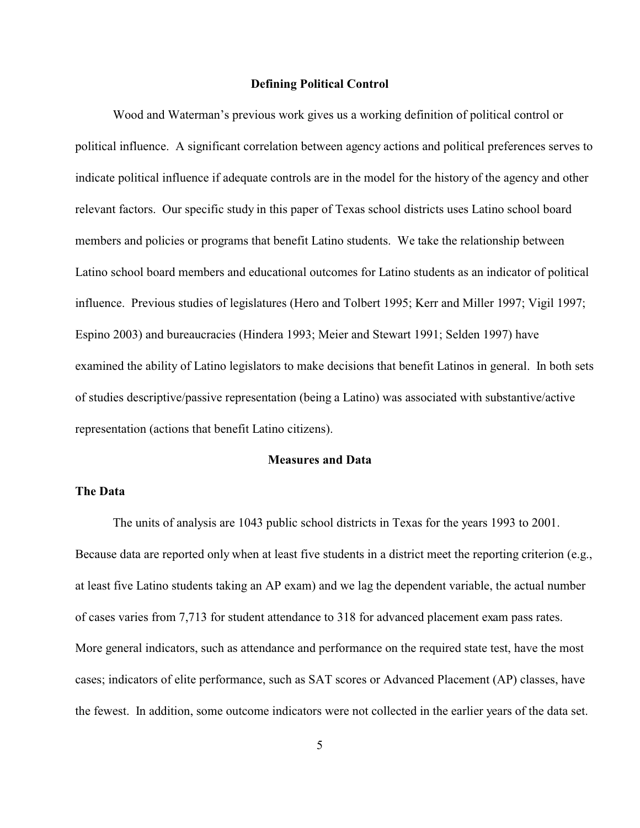#### **Defining Political Control**

Wood and Waterman's previous work gives us a working definition of political control or political influence. A significant correlation between agency actions and political preferences serves to indicate political influence if adequate controls are in the model for the history of the agency and other relevant factors. Our specific study in this paper of Texas school districts uses Latino school board members and policies or programs that benefit Latino students. We take the relationship between Latino school board members and educational outcomes for Latino students as an indicator of political influence. Previous studies of legislatures (Hero and Tolbert 1995; Kerr and Miller 1997; Vigil 1997; Espino 2003) and bureaucracies (Hindera 1993; Meier and Stewart 1991; Selden 1997) have examined the ability of Latino legislators to make decisions that benefit Latinos in general. In both sets of studies descriptive/passive representation (being a Latino) was associated with substantive/active representation (actions that benefit Latino citizens).

# **Measures and Data**

# **The Data**

The units of analysis are 1043 public school districts in Texas for the years 1993 to 2001. Because data are reported only when at least five students in a district meet the reporting criterion (e.g., at least five Latino students taking an AP exam) and we lag the dependent variable, the actual number of cases varies from 7,713 for student attendance to 318 for advanced placement exam pass rates. More general indicators, such as attendance and performance on the required state test, have the most cases; indicators of elite performance, such as SAT scores or Advanced Placement (AP) classes, have the fewest. In addition, some outcome indicators were not collected in the earlier years of the data set.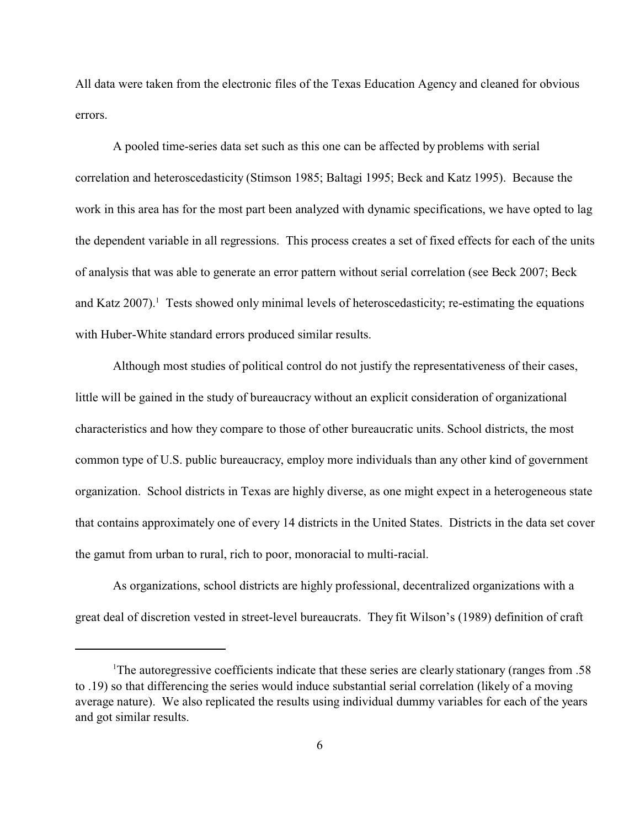All data were taken from the electronic files of the Texas Education Agency and cleaned for obvious errors.

A pooled time-series data set such as this one can be affected by problems with serial correlation and heteroscedasticity (Stimson 1985; Baltagi 1995; Beck and Katz 1995). Because the work in this area has for the most part been analyzed with dynamic specifications, we have opted to lag the dependent variable in all regressions. This process creates a set of fixed effects for each of the units of analysis that was able to generate an error pattern without serial correlation (see Beck 2007; Beck and Katz 2007).<sup>1</sup> Tests showed only minimal levels of heteroscedasticity; re-estimating the equations with Huber-White standard errors produced similar results.

Although most studies of political control do not justify the representativeness of their cases, little will be gained in the study of bureaucracy without an explicit consideration of organizational characteristics and how they compare to those of other bureaucratic units. School districts, the most common type of U.S. public bureaucracy, employ more individuals than any other kind of government organization. School districts in Texas are highly diverse, as one might expect in a heterogeneous state that contains approximately one of every 14 districts in the United States. Districts in the data set cover the gamut from urban to rural, rich to poor, monoracial to multi-racial.

As organizations, school districts are highly professional, decentralized organizations with a great deal of discretion vested in street-level bureaucrats. They fit Wilson's (1989) definition of craft

<sup>1</sup>The autoregressive coefficients indicate that these series are clearly stationary (ranges from .58 to .19) so that differencing the series would induce substantial serial correlation (likely of a moving average nature). We also replicated the results using individual dummy variables for each of the years and got similar results.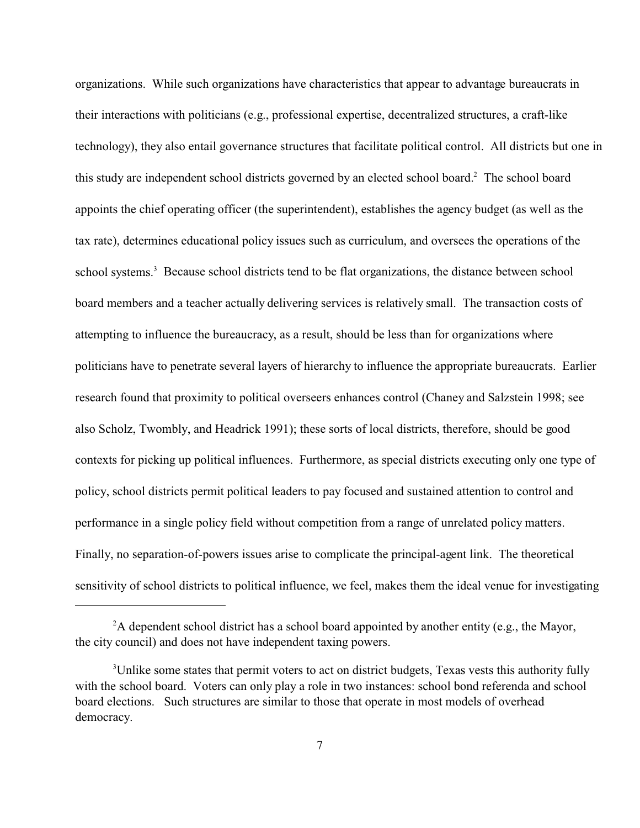organizations. While such organizations have characteristics that appear to advantage bureaucrats in their interactions with politicians (e.g., professional expertise, decentralized structures, a craft-like technology), they also entail governance structures that facilitate political control. All districts but one in this study are independent school districts governed by an elected school board.<sup>2</sup> The school board appoints the chief operating officer (the superintendent), establishes the agency budget (as well as the tax rate), determines educational policy issues such as curriculum, and oversees the operations of the school systems.<sup>3</sup> Because school districts tend to be flat organizations, the distance between school board members and a teacher actually delivering services is relatively small. The transaction costs of attempting to influence the bureaucracy, as a result, should be less than for organizations where politicians have to penetrate several layers of hierarchy to influence the appropriate bureaucrats. Earlier research found that proximity to political overseers enhances control (Chaney and Salzstein 1998; see also Scholz, Twombly, and Headrick 1991); these sorts of local districts, therefore, should be good contexts for picking up political influences. Furthermore, as special districts executing only one type of policy, school districts permit political leaders to pay focused and sustained attention to control and performance in a single policy field without competition from a range of unrelated policy matters. Finally, no separation-of-powers issues arise to complicate the principal-agent link. The theoretical sensitivity of school districts to political influence, we feel, makes them the ideal venue for investigating

 ${}^{2}$ A dependent school district has a school board appointed by another entity (e.g., the Mayor, the city council) and does not have independent taxing powers.

<sup>&</sup>lt;sup>3</sup>Unlike some states that permit voters to act on district budgets, Texas vests this authority fully with the school board. Voters can only play a role in two instances: school bond referenda and school board elections. Such structures are similar to those that operate in most models of overhead democracy.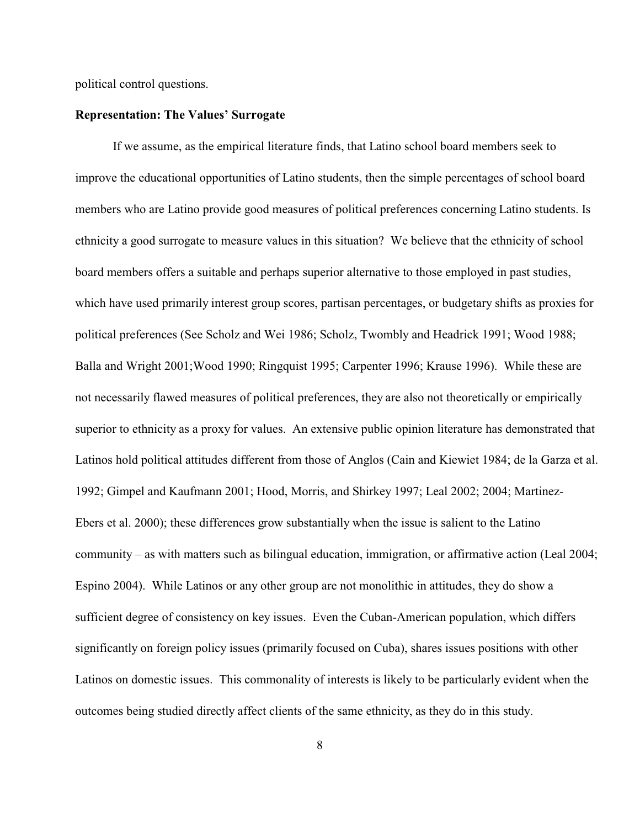political control questions.

# **Representation: The Values' Surrogate**

If we assume, as the empirical literature finds, that Latino school board members seek to improve the educational opportunities of Latino students, then the simple percentages of school board members who are Latino provide good measures of political preferences concerning Latino students. Is ethnicity a good surrogate to measure values in this situation? We believe that the ethnicity of school board members offers a suitable and perhaps superior alternative to those employed in past studies, which have used primarily interest group scores, partisan percentages, or budgetary shifts as proxies for political preferences (See Scholz and Wei 1986; Scholz, Twombly and Headrick 1991; Wood 1988; Balla and Wright 2001;Wood 1990; Ringquist 1995; Carpenter 1996; Krause 1996). While these are not necessarily flawed measures of political preferences, they are also not theoretically or empirically superior to ethnicity as a proxy for values. An extensive public opinion literature has demonstrated that Latinos hold political attitudes different from those of Anglos (Cain and Kiewiet 1984; de la Garza et al. 1992; Gimpel and Kaufmann 2001; Hood, Morris, and Shirkey 1997; Leal 2002; 2004; Martinez-Ebers et al. 2000); these differences grow substantially when the issue is salient to the Latino community – as with matters such as bilingual education, immigration, or affirmative action (Leal 2004; Espino 2004). While Latinos or any other group are not monolithic in attitudes, they do show a sufficient degree of consistency on key issues. Even the Cuban-American population, which differs significantly on foreign policy issues (primarily focused on Cuba), shares issues positions with other Latinos on domestic issues. This commonality of interests is likely to be particularly evident when the outcomes being studied directly affect clients of the same ethnicity, as they do in this study.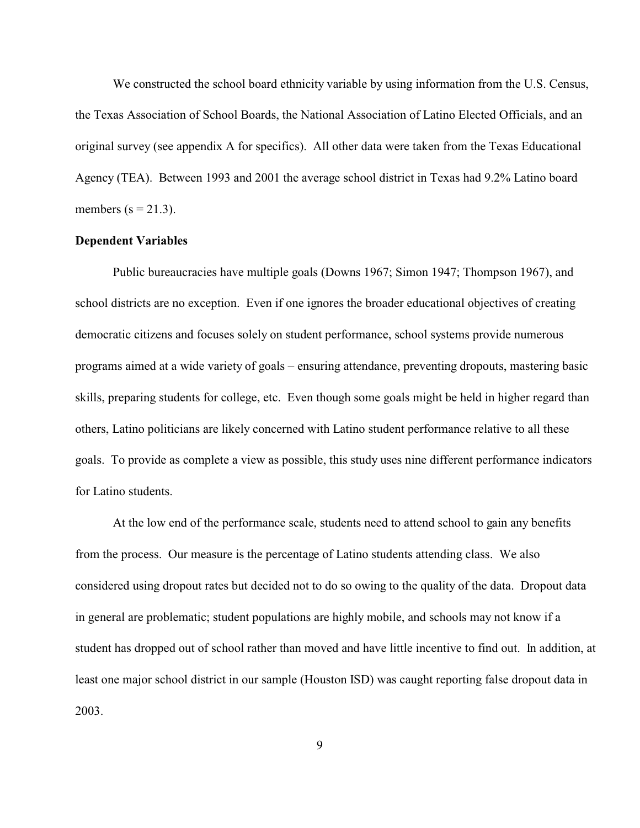We constructed the school board ethnicity variable by using information from the U.S. Census, the Texas Association of School Boards, the National Association of Latino Elected Officials, and an original survey (see appendix A for specifics). All other data were taken from the Texas Educational Agency (TEA). Between 1993 and 2001 the average school district in Texas had 9.2% Latino board members  $(s = 21.3)$ .

## **Dependent Variables**

Public bureaucracies have multiple goals (Downs 1967; Simon 1947; Thompson 1967), and school districts are no exception. Even if one ignores the broader educational objectives of creating democratic citizens and focuses solely on student performance, school systems provide numerous programs aimed at a wide variety of goals – ensuring attendance, preventing dropouts, mastering basic skills, preparing students for college, etc. Even though some goals might be held in higher regard than others, Latino politicians are likely concerned with Latino student performance relative to all these goals. To provide as complete a view as possible, this study uses nine different performance indicators for Latino students.

At the low end of the performance scale, students need to attend school to gain any benefits from the process. Our measure is the percentage of Latino students attending class. We also considered using dropout rates but decided not to do so owing to the quality of the data. Dropout data in general are problematic; student populations are highly mobile, and schools may not know if a student has dropped out of school rather than moved and have little incentive to find out. In addition, at least one major school district in our sample (Houston ISD) was caught reporting false dropout data in 2003.

9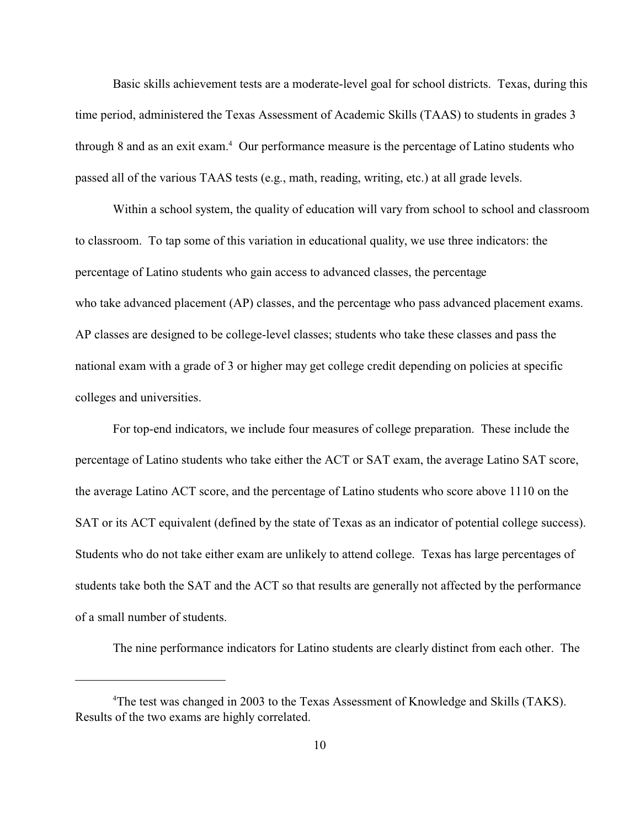Basic skills achievement tests are a moderate-level goal for school districts. Texas, during this time period, administered the Texas Assessment of Academic Skills (TAAS) to students in grades 3 through 8 and as an exit exam.<sup>4</sup> Our performance measure is the percentage of Latino students who passed all of the various TAAS tests (e.g., math, reading, writing, etc.) at all grade levels.

Within a school system, the quality of education will vary from school to school and classroom to classroom. To tap some of this variation in educational quality, we use three indicators: the percentage of Latino students who gain access to advanced classes, the percentage who take advanced placement (AP) classes, and the percentage who pass advanced placement exams. AP classes are designed to be college-level classes; students who take these classes and pass the national exam with a grade of 3 or higher may get college credit depending on policies at specific colleges and universities.

For top-end indicators, we include four measures of college preparation. These include the percentage of Latino students who take either the ACT or SAT exam, the average Latino SAT score, the average Latino ACT score, and the percentage of Latino students who score above 1110 on the SAT or its ACT equivalent (defined by the state of Texas as an indicator of potential college success). Students who do not take either exam are unlikely to attend college. Texas has large percentages of students take both the SAT and the ACT so that results are generally not affected by the performance of a small number of students.

The nine performance indicators for Latino students are clearly distinct from each other. The

<sup>&</sup>lt;sup>4</sup>The test was changed in 2003 to the Texas Assessment of Knowledge and Skills (TAKS). Results of the two exams are highly correlated.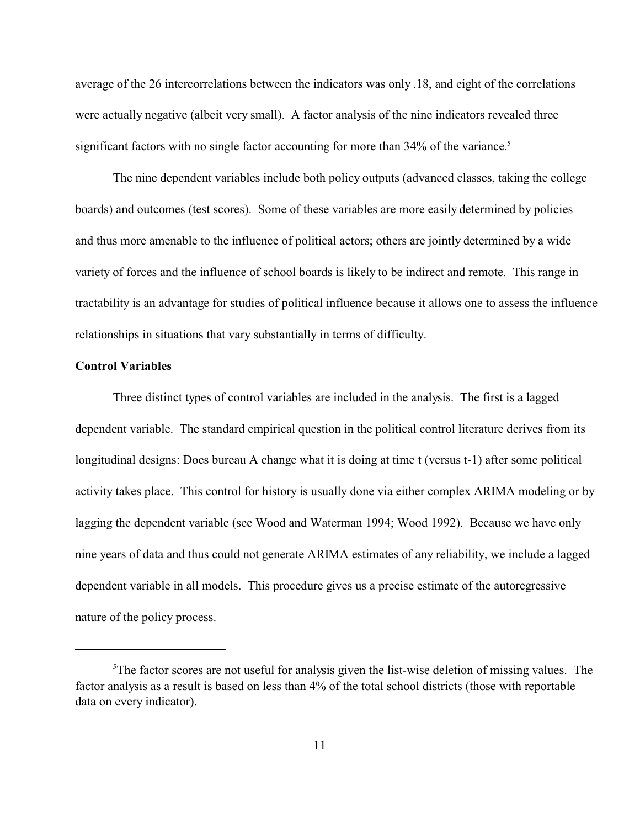average of the 26 intercorrelations between the indicators was only .18, and eight of the correlations were actually negative (albeit very small). A factor analysis of the nine indicators revealed three significant factors with no single factor accounting for more than  $34\%$  of the variance.<sup>5</sup>

The nine dependent variables include both policy outputs (advanced classes, taking the college boards) and outcomes (test scores). Some of these variables are more easily determined by policies and thus more amenable to the influence of political actors; others are jointly determined by a wide variety of forces and the influence of school boards is likely to be indirect and remote. This range in tractability is an advantage for studies of political influence because it allows one to assess the influence relationships in situations that vary substantially in terms of difficulty.

# **Control Variables**

Three distinct types of control variables are included in the analysis. The first is a lagged dependent variable. The standard empirical question in the political control literature derives from its longitudinal designs: Does bureau A change what it is doing at time t (versus t-1) after some political activity takes place. This control for history is usually done via either complex ARIMA modeling or by lagging the dependent variable (see Wood and Waterman 1994; Wood 1992). Because we have only nine years of data and thus could not generate ARIMA estimates of any reliability, we include a lagged dependent variable in all models. This procedure gives us a precise estimate of the autoregressive nature of the policy process.

<sup>&</sup>lt;sup>5</sup>The factor scores are not useful for analysis given the list-wise deletion of missing values. The factor analysis as a result is based on less than 4% of the total school districts (those with reportable data on every indicator).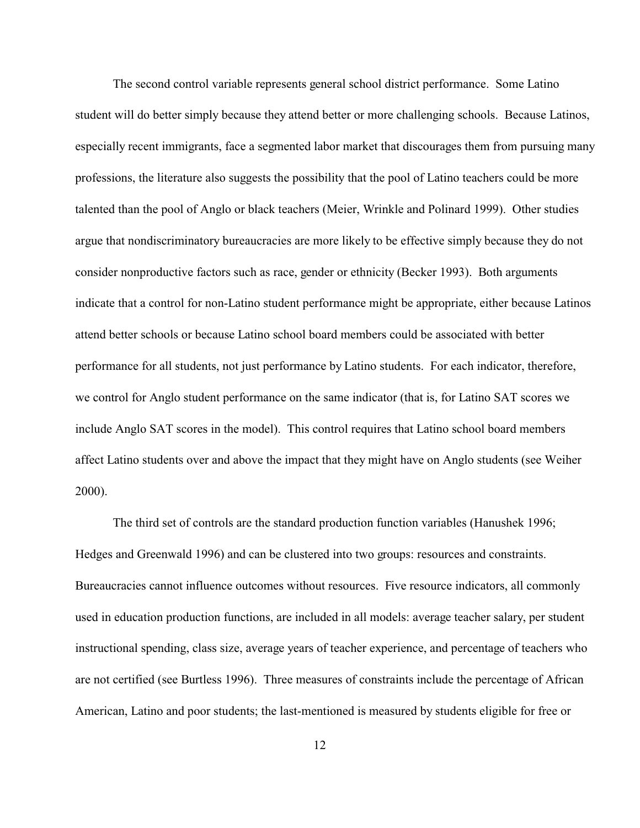The second control variable represents general school district performance. Some Latino student will do better simply because they attend better or more challenging schools. Because Latinos, especially recent immigrants, face a segmented labor market that discourages them from pursuing many professions, the literature also suggests the possibility that the pool of Latino teachers could be more talented than the pool of Anglo or black teachers (Meier, Wrinkle and Polinard 1999). Other studies argue that nondiscriminatory bureaucracies are more likely to be effective simply because they do not consider nonproductive factors such as race, gender or ethnicity (Becker 1993). Both arguments indicate that a control for non-Latino student performance might be appropriate, either because Latinos attend better schools or because Latino school board members could be associated with better performance for all students, not just performance by Latino students. For each indicator, therefore, we control for Anglo student performance on the same indicator (that is, for Latino SAT scores we include Anglo SAT scores in the model). This control requires that Latino school board members affect Latino students over and above the impact that they might have on Anglo students (see Weiher 2000).

The third set of controls are the standard production function variables (Hanushek 1996; Hedges and Greenwald 1996) and can be clustered into two groups: resources and constraints. Bureaucracies cannot influence outcomes without resources. Five resource indicators, all commonly used in education production functions, are included in all models: average teacher salary, per student instructional spending, class size, average years of teacher experience, and percentage of teachers who are not certified (see Burtless 1996). Three measures of constraints include the percentage of African American, Latino and poor students; the last-mentioned is measured by students eligible for free or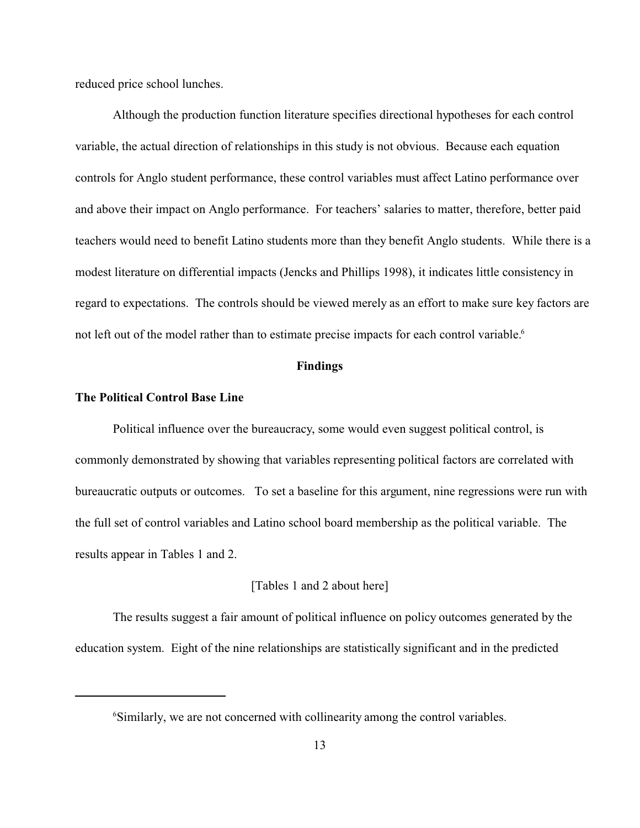reduced price school lunches.

Although the production function literature specifies directional hypotheses for each control variable, the actual direction of relationships in this study is not obvious. Because each equation controls for Anglo student performance, these control variables must affect Latino performance over and above their impact on Anglo performance. For teachers' salaries to matter, therefore, better paid teachers would need to benefit Latino students more than they benefit Anglo students. While there is a modest literature on differential impacts (Jencks and Phillips 1998), it indicates little consistency in regard to expectations. The controls should be viewed merely as an effort to make sure key factors are not left out of the model rather than to estimate precise impacts for each control variable.<sup>6</sup>

#### **Findings**

## **The Political Control Base Line**

Political influence over the bureaucracy, some would even suggest political control, is commonly demonstrated by showing that variables representing political factors are correlated with bureaucratic outputs or outcomes. To set a baseline for this argument, nine regressions were run with the full set of control variables and Latino school board membership as the political variable. The results appear in Tables 1 and 2.

## [Tables 1 and 2 about here]

The results suggest a fair amount of political influence on policy outcomes generated by the education system. Eight of the nine relationships are statistically significant and in the predicted

<sup>&</sup>lt;sup>6</sup>Similarly, we are not concerned with collinearity among the control variables.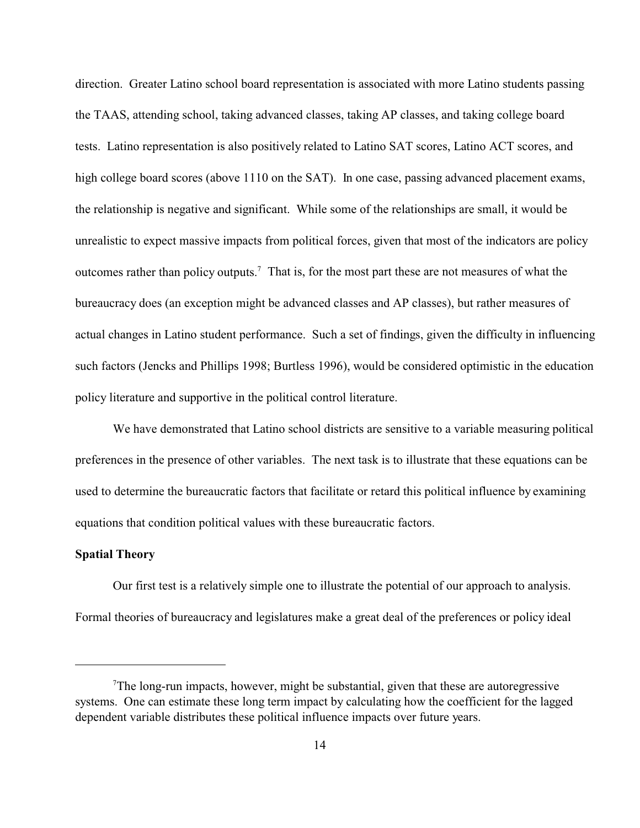direction. Greater Latino school board representation is associated with more Latino students passing the TAAS, attending school, taking advanced classes, taking AP classes, and taking college board tests. Latino representation is also positively related to Latino SAT scores, Latino ACT scores, and high college board scores (above 1110 on the SAT). In one case, passing advanced placement exams, the relationship is negative and significant. While some of the relationships are small, it would be unrealistic to expect massive impacts from political forces, given that most of the indicators are policy outcomes rather than policy outputs.<sup>7</sup> That is, for the most part these are not measures of what the bureaucracy does (an exception might be advanced classes and AP classes), but rather measures of actual changes in Latino student performance. Such a set of findings, given the difficulty in influencing such factors (Jencks and Phillips 1998; Burtless 1996), would be considered optimistic in the education policy literature and supportive in the political control literature.

We have demonstrated that Latino school districts are sensitive to a variable measuring political preferences in the presence of other variables. The next task is to illustrate that these equations can be used to determine the bureaucratic factors that facilitate or retard this political influence by examining equations that condition political values with these bureaucratic factors.

# **Spatial Theory**

Our first test is a relatively simple one to illustrate the potential of our approach to analysis. Formal theories of bureaucracy and legislatures make a great deal of the preferences or policy ideal

 $T$ The long-run impacts, however, might be substantial, given that these are autoregressive systems. One can estimate these long term impact by calculating how the coefficient for the lagged dependent variable distributes these political influence impacts over future years.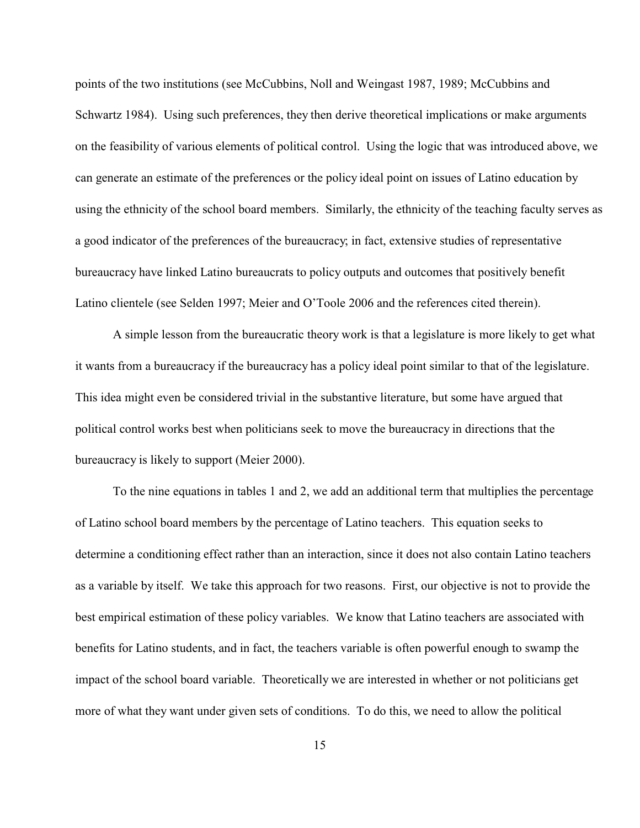points of the two institutions (see McCubbins, Noll and Weingast 1987, 1989; McCubbins and Schwartz 1984). Using such preferences, they then derive theoretical implications or make arguments on the feasibility of various elements of political control. Using the logic that was introduced above, we can generate an estimate of the preferences or the policy ideal point on issues of Latino education by using the ethnicity of the school board members. Similarly, the ethnicity of the teaching faculty serves as a good indicator of the preferences of the bureaucracy; in fact, extensive studies of representative bureaucracy have linked Latino bureaucrats to policy outputs and outcomes that positively benefit Latino clientele (see Selden 1997; Meier and O'Toole 2006 and the references cited therein).

A simple lesson from the bureaucratic theory work is that a legislature is more likely to get what it wants from a bureaucracy if the bureaucracy has a policy ideal point similar to that of the legislature. This idea might even be considered trivial in the substantive literature, but some have argued that political control works best when politicians seek to move the bureaucracy in directions that the bureaucracy is likely to support (Meier 2000).

To the nine equations in tables 1 and 2, we add an additional term that multiplies the percentage of Latino school board members by the percentage of Latino teachers. This equation seeks to determine a conditioning effect rather than an interaction, since it does not also contain Latino teachers as a variable by itself. We take this approach for two reasons. First, our objective is not to provide the best empirical estimation of these policy variables. We know that Latino teachers are associated with benefits for Latino students, and in fact, the teachers variable is often powerful enough to swamp the impact of the school board variable. Theoretically we are interested in whether or not politicians get more of what they want under given sets of conditions. To do this, we need to allow the political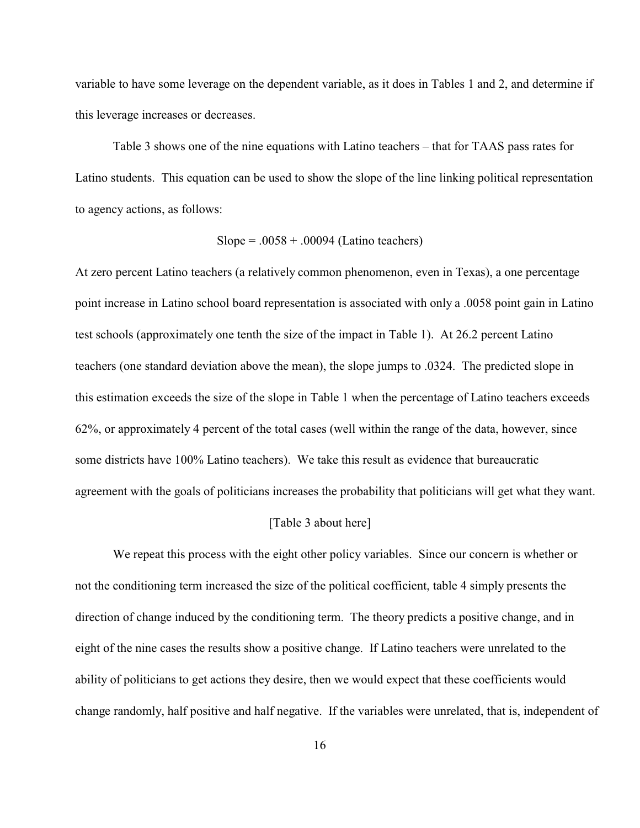variable to have some leverage on the dependent variable, as it does in Tables 1 and 2, and determine if this leverage increases or decreases.

Table 3 shows one of the nine equations with Latino teachers – that for TAAS pass rates for Latino students. This equation can be used to show the slope of the line linking political representation to agency actions, as follows:

$$
Slope = .0058 + .00094 (Latino teachers)
$$

At zero percent Latino teachers (a relatively common phenomenon, even in Texas), a one percentage point increase in Latino school board representation is associated with only a .0058 point gain in Latino test schools (approximately one tenth the size of the impact in Table 1). At 26.2 percent Latino teachers (one standard deviation above the mean), the slope jumps to .0324. The predicted slope in this estimation exceeds the size of the slope in Table 1 when the percentage of Latino teachers exceeds 62%, or approximately 4 percent of the total cases (well within the range of the data, however, since some districts have 100% Latino teachers). We take this result as evidence that bureaucratic agreement with the goals of politicians increases the probability that politicians will get what they want.

## [Table 3 about here]

We repeat this process with the eight other policy variables. Since our concern is whether or not the conditioning term increased the size of the political coefficient, table 4 simply presents the direction of change induced by the conditioning term. The theory predicts a positive change, and in eight of the nine cases the results show a positive change. If Latino teachers were unrelated to the ability of politicians to get actions they desire, then we would expect that these coefficients would change randomly, half positive and half negative. If the variables were unrelated, that is, independent of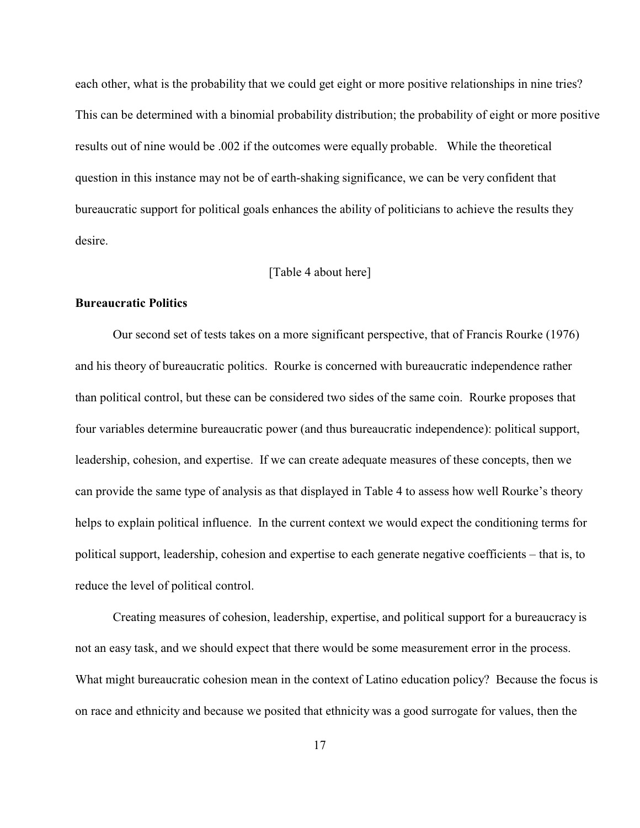each other, what is the probability that we could get eight or more positive relationships in nine tries? This can be determined with a binomial probability distribution; the probability of eight or more positive results out of nine would be .002 if the outcomes were equally probable. While the theoretical question in this instance may not be of earth-shaking significance, we can be very confident that bureaucratic support for political goals enhances the ability of politicians to achieve the results they desire.

## [Table 4 about here]

#### **Bureaucratic Politics**

Our second set of tests takes on a more significant perspective, that of Francis Rourke (1976) and his theory of bureaucratic politics. Rourke is concerned with bureaucratic independence rather than political control, but these can be considered two sides of the same coin. Rourke proposes that four variables determine bureaucratic power (and thus bureaucratic independence): political support, leadership, cohesion, and expertise. If we can create adequate measures of these concepts, then we can provide the same type of analysis as that displayed in Table 4 to assess how well Rourke's theory helps to explain political influence. In the current context we would expect the conditioning terms for political support, leadership, cohesion and expertise to each generate negative coefficients – that is, to reduce the level of political control.

Creating measures of cohesion, leadership, expertise, and political support for a bureaucracy is not an easy task, and we should expect that there would be some measurement error in the process. What might bureaucratic cohesion mean in the context of Latino education policy? Because the focus is on race and ethnicity and because we posited that ethnicity was a good surrogate for values, then the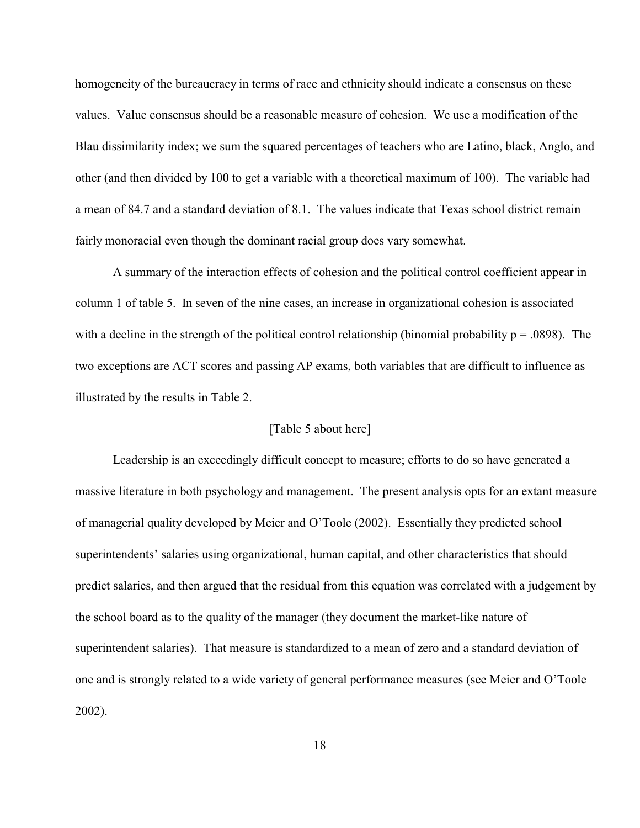homogeneity of the bureaucracy in terms of race and ethnicity should indicate a consensus on these values. Value consensus should be a reasonable measure of cohesion. We use a modification of the Blau dissimilarity index; we sum the squared percentages of teachers who are Latino, black, Anglo, and other (and then divided by 100 to get a variable with a theoretical maximum of 100). The variable had a mean of 84.7 and a standard deviation of 8.1. The values indicate that Texas school district remain fairly monoracial even though the dominant racial group does vary somewhat.

A summary of the interaction effects of cohesion and the political control coefficient appear in column 1 of table 5. In seven of the nine cases, an increase in organizational cohesion is associated with a decline in the strength of the political control relationship (binomial probability  $p = .0898$ ). The two exceptions are ACT scores and passing AP exams, both variables that are difficult to influence as illustrated by the results in Table 2.

# [Table 5 about here]

Leadership is an exceedingly difficult concept to measure; efforts to do so have generated a massive literature in both psychology and management. The present analysis opts for an extant measure of managerial quality developed by Meier and O'Toole (2002). Essentially they predicted school superintendents' salaries using organizational, human capital, and other characteristics that should predict salaries, and then argued that the residual from this equation was correlated with a judgement by the school board as to the quality of the manager (they document the market-like nature of superintendent salaries). That measure is standardized to a mean of zero and a standard deviation of one and is strongly related to a wide variety of general performance measures (see Meier and O'Toole 2002).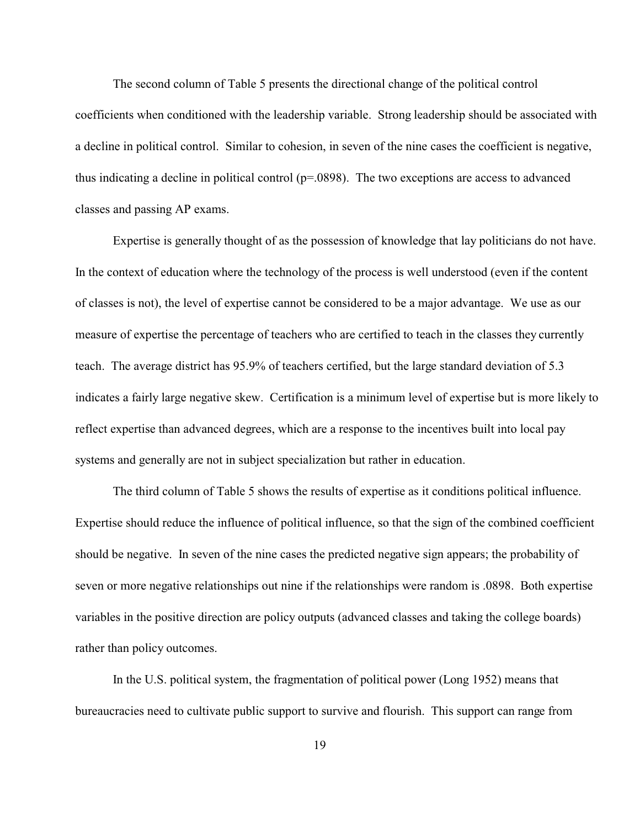The second column of Table 5 presents the directional change of the political control coefficients when conditioned with the leadership variable. Strong leadership should be associated with a decline in political control. Similar to cohesion, in seven of the nine cases the coefficient is negative, thus indicating a decline in political control (p=.0898). The two exceptions are access to advanced classes and passing AP exams.

Expertise is generally thought of as the possession of knowledge that lay politicians do not have. In the context of education where the technology of the process is well understood (even if the content of classes is not), the level of expertise cannot be considered to be a major advantage. We use as our measure of expertise the percentage of teachers who are certified to teach in the classes they currently teach. The average district has 95.9% of teachers certified, but the large standard deviation of 5.3 indicates a fairly large negative skew. Certification is a minimum level of expertise but is more likely to reflect expertise than advanced degrees, which are a response to the incentives built into local pay systems and generally are not in subject specialization but rather in education.

The third column of Table 5 shows the results of expertise as it conditions political influence. Expertise should reduce the influence of political influence, so that the sign of the combined coefficient should be negative. In seven of the nine cases the predicted negative sign appears; the probability of seven or more negative relationships out nine if the relationships were random is .0898. Both expertise variables in the positive direction are policy outputs (advanced classes and taking the college boards) rather than policy outcomes.

In the U.S. political system, the fragmentation of political power (Long 1952) means that bureaucracies need to cultivate public support to survive and flourish. This support can range from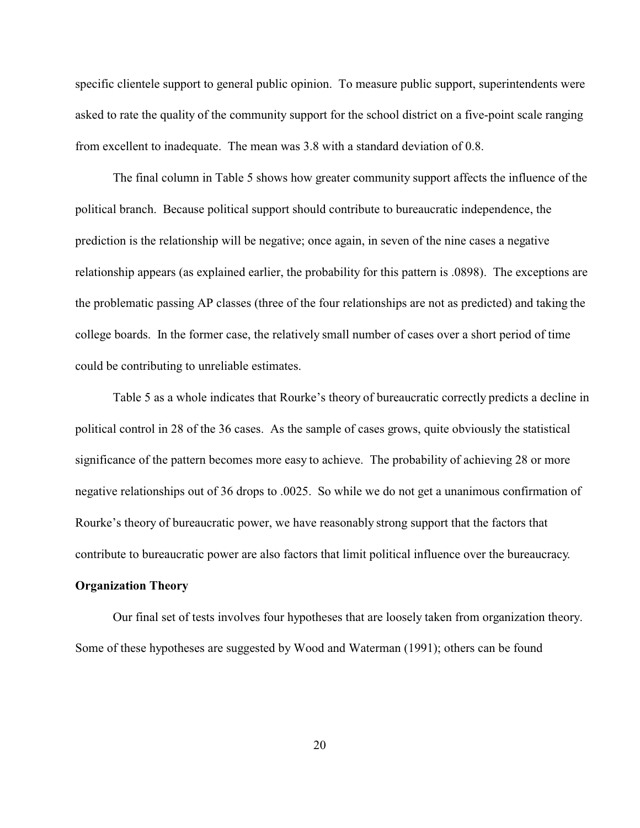specific clientele support to general public opinion. To measure public support, superintendents were asked to rate the quality of the community support for the school district on a five-point scale ranging from excellent to inadequate. The mean was 3.8 with a standard deviation of 0.8.

The final column in Table 5 shows how greater community support affects the influence of the political branch. Because political support should contribute to bureaucratic independence, the prediction is the relationship will be negative; once again, in seven of the nine cases a negative relationship appears (as explained earlier, the probability for this pattern is .0898). The exceptions are the problematic passing AP classes (three of the four relationships are not as predicted) and taking the college boards. In the former case, the relatively small number of cases over a short period of time could be contributing to unreliable estimates.

Table 5 as a whole indicates that Rourke's theory of bureaucratic correctly predicts a decline in political control in 28 of the 36 cases. As the sample of cases grows, quite obviously the statistical significance of the pattern becomes more easy to achieve. The probability of achieving 28 or more negative relationships out of 36 drops to .0025. So while we do not get a unanimous confirmation of Rourke's theory of bureaucratic power, we have reasonably strong support that the factors that contribute to bureaucratic power are also factors that limit political influence over the bureaucracy.

# **Organization Theory**

Our final set of tests involves four hypotheses that are loosely taken from organization theory. Some of these hypotheses are suggested by Wood and Waterman (1991); others can be found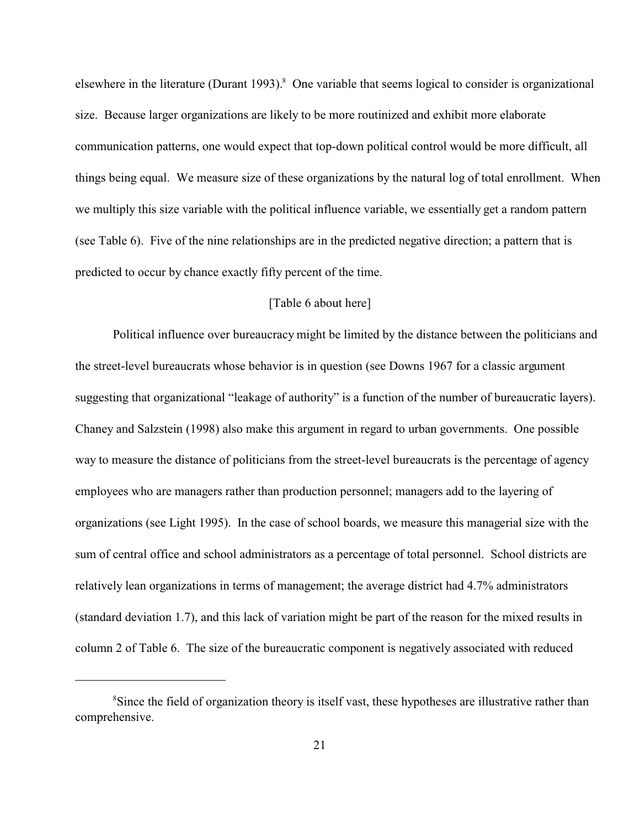elsewhere in the literature (Durant 1993).<sup>8</sup> One variable that seems logical to consider is organizational size. Because larger organizations are likely to be more routinized and exhibit more elaborate communication patterns, one would expect that top-down political control would be more difficult, all things being equal. We measure size of these organizations by the natural log of total enrollment. When we multiply this size variable with the political influence variable, we essentially get a random pattern (see Table 6). Five of the nine relationships are in the predicted negative direction; a pattern that is predicted to occur by chance exactly fifty percent of the time.

## [Table 6 about here]

Political influence over bureaucracy might be limited by the distance between the politicians and the street-level bureaucrats whose behavior is in question (see Downs 1967 for a classic argument suggesting that organizational "leakage of authority" is a function of the number of bureaucratic layers). Chaney and Salzstein (1998) also make this argument in regard to urban governments. One possible way to measure the distance of politicians from the street-level bureaucrats is the percentage of agency employees who are managers rather than production personnel; managers add to the layering of organizations (see Light 1995). In the case of school boards, we measure this managerial size with the sum of central office and school administrators as a percentage of total personnel. School districts are relatively lean organizations in terms of management; the average district had 4.7% administrators (standard deviation 1.7), and this lack of variation might be part of the reason for the mixed results in column 2 of Table 6. The size of the bureaucratic component is negatively associated with reduced

<sup>&</sup>lt;sup>8</sup>Since the field of organization theory is itself vast, these hypotheses are illustrative rather than comprehensive.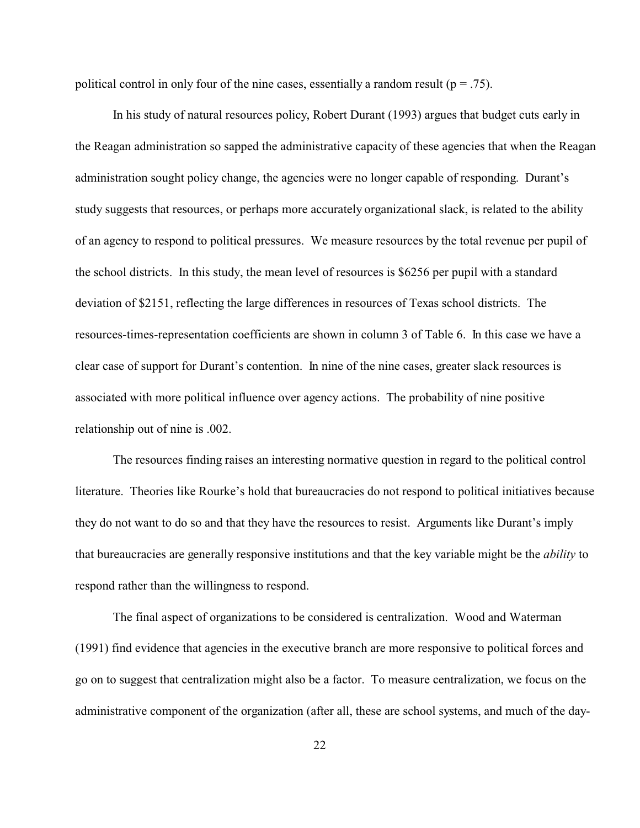political control in only four of the nine cases, essentially a random result ( $p = .75$ ).

In his study of natural resources policy, Robert Durant (1993) argues that budget cuts early in the Reagan administration so sapped the administrative capacity of these agencies that when the Reagan administration sought policy change, the agencies were no longer capable of responding. Durant's study suggests that resources, or perhaps more accurately organizational slack, is related to the ability of an agency to respond to political pressures. We measure resources by the total revenue per pupil of the school districts. In this study, the mean level of resources is \$6256 per pupil with a standard deviation of \$2151, reflecting the large differences in resources of Texas school districts. The resources-times-representation coefficients are shown in column 3 of Table 6. In this case we have a clear case of support for Durant's contention. In nine of the nine cases, greater slack resources is associated with more political influence over agency actions. The probability of nine positive relationship out of nine is .002.

The resources finding raises an interesting normative question in regard to the political control literature. Theories like Rourke's hold that bureaucracies do not respond to political initiatives because they do not want to do so and that they have the resources to resist. Arguments like Durant's imply that bureaucracies are generally responsive institutions and that the key variable might be the *ability* to respond rather than the willingness to respond.

The final aspect of organizations to be considered is centralization. Wood and Waterman (1991) find evidence that agencies in the executive branch are more responsive to political forces and go on to suggest that centralization might also be a factor. To measure centralization, we focus on the administrative component of the organization (after all, these are school systems, and much of the day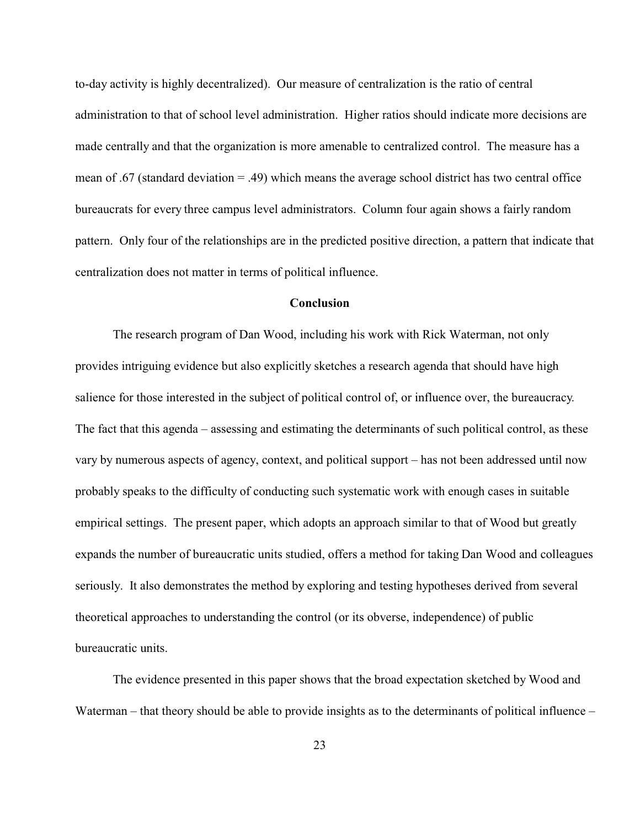to-day activity is highly decentralized). Our measure of centralization is the ratio of central administration to that of school level administration. Higher ratios should indicate more decisions are made centrally and that the organization is more amenable to centralized control. The measure has a mean of .67 (standard deviation = .49) which means the average school district has two central office bureaucrats for every three campus level administrators. Column four again shows a fairly random pattern. Only four of the relationships are in the predicted positive direction, a pattern that indicate that centralization does not matter in terms of political influence.

#### **Conclusion**

The research program of Dan Wood, including his work with Rick Waterman, not only provides intriguing evidence but also explicitly sketches a research agenda that should have high salience for those interested in the subject of political control of, or influence over, the bureaucracy. The fact that this agenda – assessing and estimating the determinants of such political control, as these vary by numerous aspects of agency, context, and political support – has not been addressed until now probably speaks to the difficulty of conducting such systematic work with enough cases in suitable empirical settings. The present paper, which adopts an approach similar to that of Wood but greatly expands the number of bureaucratic units studied, offers a method for taking Dan Wood and colleagues seriously. It also demonstrates the method by exploring and testing hypotheses derived from several theoretical approaches to understanding the control (or its obverse, independence) of public bureaucratic units.

The evidence presented in this paper shows that the broad expectation sketched by Wood and Waterman – that theory should be able to provide insights as to the determinants of political influence –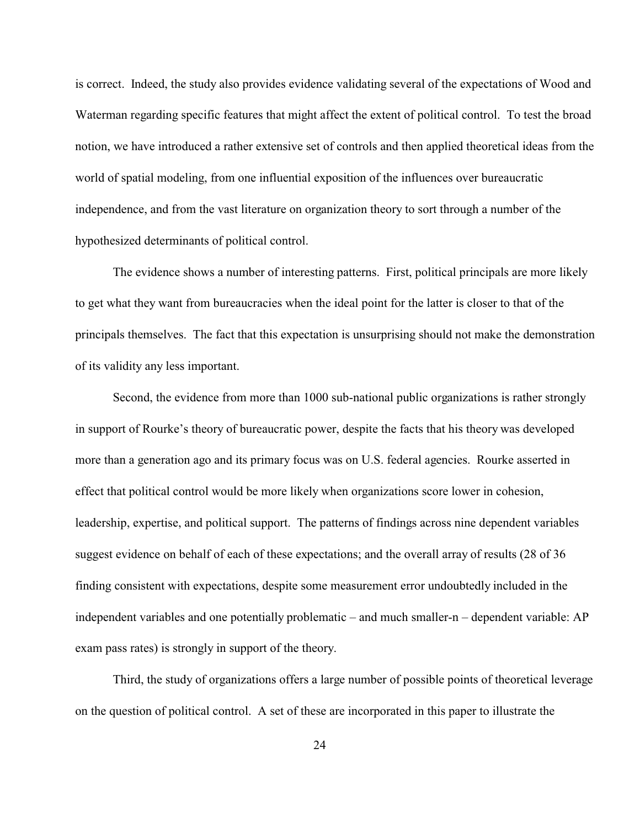is correct. Indeed, the study also provides evidence validating several of the expectations of Wood and Waterman regarding specific features that might affect the extent of political control. To test the broad notion, we have introduced a rather extensive set of controls and then applied theoretical ideas from the world of spatial modeling, from one influential exposition of the influences over bureaucratic independence, and from the vast literature on organization theory to sort through a number of the hypothesized determinants of political control.

The evidence shows a number of interesting patterns. First, political principals are more likely to get what they want from bureaucracies when the ideal point for the latter is closer to that of the principals themselves. The fact that this expectation is unsurprising should not make the demonstration of its validity any less important.

Second, the evidence from more than 1000 sub-national public organizations is rather strongly in support of Rourke's theory of bureaucratic power, despite the facts that his theory was developed more than a generation ago and its primary focus was on U.S. federal agencies. Rourke asserted in effect that political control would be more likely when organizations score lower in cohesion, leadership, expertise, and political support. The patterns of findings across nine dependent variables suggest evidence on behalf of each of these expectations; and the overall array of results (28 of 36 finding consistent with expectations, despite some measurement error undoubtedly included in the independent variables and one potentially problematic – and much smaller-n – dependent variable: AP exam pass rates) is strongly in support of the theory.

Third, the study of organizations offers a large number of possible points of theoretical leverage on the question of political control. A set of these are incorporated in this paper to illustrate the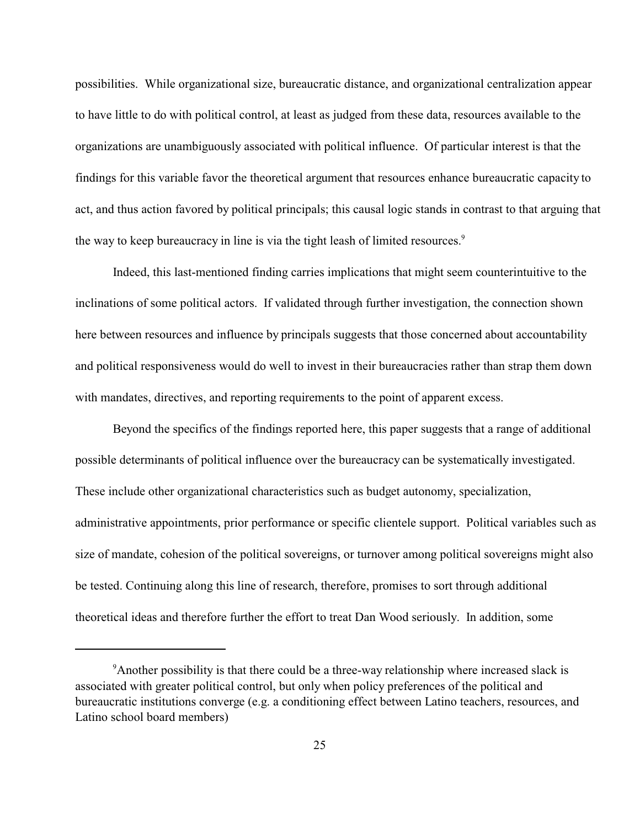possibilities. While organizational size, bureaucratic distance, and organizational centralization appear to have little to do with political control, at least as judged from these data, resources available to the organizations are unambiguously associated with political influence. Of particular interest is that the findings for this variable favor the theoretical argument that resources enhance bureaucratic capacity to act, and thus action favored by political principals; this causal logic stands in contrast to that arguing that the way to keep bureaucracy in line is via the tight leash of limited resources.<sup>9</sup>

Indeed, this last-mentioned finding carries implications that might seem counterintuitive to the inclinations of some political actors. If validated through further investigation, the connection shown here between resources and influence by principals suggests that those concerned about accountability and political responsiveness would do well to invest in their bureaucracies rather than strap them down with mandates, directives, and reporting requirements to the point of apparent excess.

Beyond the specifics of the findings reported here, this paper suggests that a range of additional possible determinants of political influence over the bureaucracy can be systematically investigated. These include other organizational characteristics such as budget autonomy, specialization, administrative appointments, prior performance or specific clientele support. Political variables such as size of mandate, cohesion of the political sovereigns, or turnover among political sovereigns might also be tested. Continuing along this line of research, therefore, promises to sort through additional theoretical ideas and therefore further the effort to treat Dan Wood seriously. In addition, some

<sup>&</sup>lt;sup>9</sup>Another possibility is that there could be a three-way relationship where increased slack is associated with greater political control, but only when policy preferences of the political and bureaucratic institutions converge (e.g. a conditioning effect between Latino teachers, resources, and Latino school board members)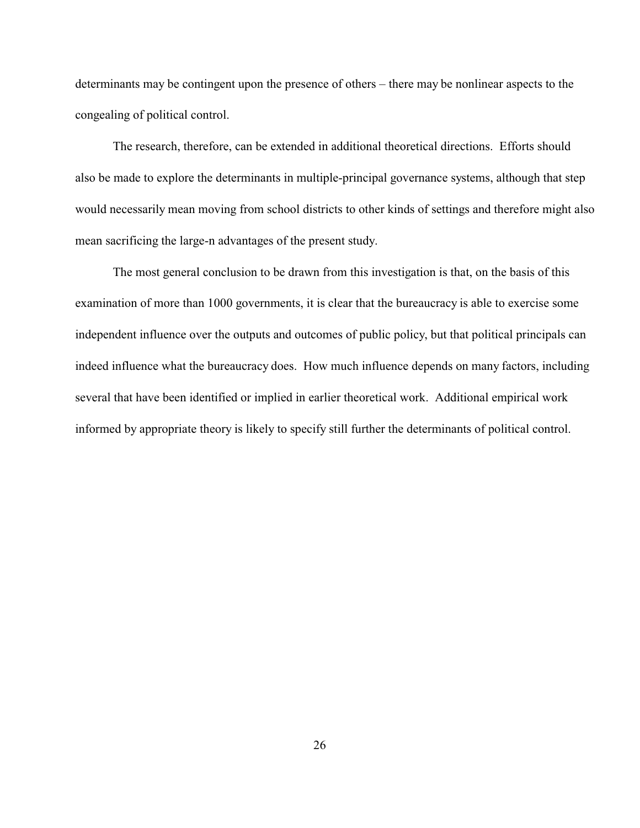determinants may be contingent upon the presence of others – there may be nonlinear aspects to the congealing of political control.

The research, therefore, can be extended in additional theoretical directions. Efforts should also be made to explore the determinants in multiple-principal governance systems, although that step would necessarily mean moving from school districts to other kinds of settings and therefore might also mean sacrificing the large-n advantages of the present study.

The most general conclusion to be drawn from this investigation is that, on the basis of this examination of more than 1000 governments, it is clear that the bureaucracy is able to exercise some independent influence over the outputs and outcomes of public policy, but that political principals can indeed influence what the bureaucracy does. How much influence depends on many factors, including several that have been identified or implied in earlier theoretical work. Additional empirical work informed by appropriate theory is likely to specify still further the determinants of political control.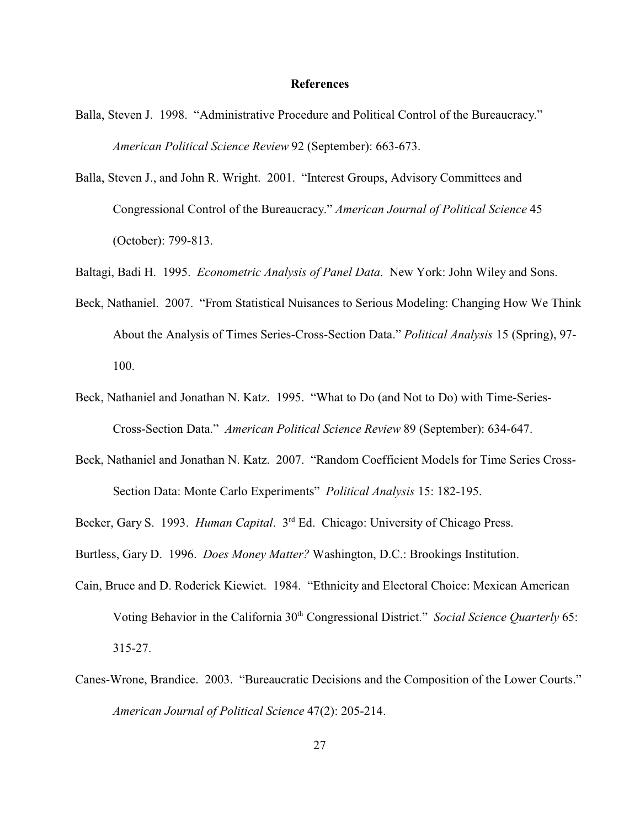#### **References**

- Balla, Steven J. 1998. "Administrative Procedure and Political Control of the Bureaucracy." *American Political Science Review* 92 (September): 663-673.
- Balla, Steven J., and John R. Wright. 2001. "Interest Groups, Advisory Committees and Congressional Control of the Bureaucracy." *American Journal of Political Science* 45 (October): 799-813.
- Baltagi, Badi H. 1995. *Econometric Analysis of Panel Data*. New York: John Wiley and Sons.
- Beck, Nathaniel. 2007. "From Statistical Nuisances to Serious Modeling: Changing How We Think About the Analysis of Times Series-Cross-Section Data." *Political Analysis* 15 (Spring), 97- 100.
- Beck, Nathaniel and Jonathan N. Katz. 1995. "What to Do (and Not to Do) with Time-Series-Cross-Section Data." *American Political Science Review* 89 (September): 634-647.
- Beck, Nathaniel and Jonathan N. Katz. 2007. "Random Coefficient Models for Time Series Cross-Section Data: Monte Carlo Experiments" *Political Analysis* 15: 182-195.

Becker, Gary S. 1993. *Human Capital*. 3<sup>rd</sup> Ed. Chicago: University of Chicago Press.

Burtless, Gary D. 1996. *Does Money Matter?* Washington, D.C.: Brookings Institution.

- Cain, Bruce and D. Roderick Kiewiet. 1984. "Ethnicity and Electoral Choice: Mexican American Voting Behavior in the California 30<sup>th</sup> Congressional District." Social Science Quarterly 65: 315-27.
- Canes-Wrone, Brandice. 2003. "Bureaucratic Decisions and the Composition of the Lower Courts." *American Journal of Political Science* 47(2): 205-214.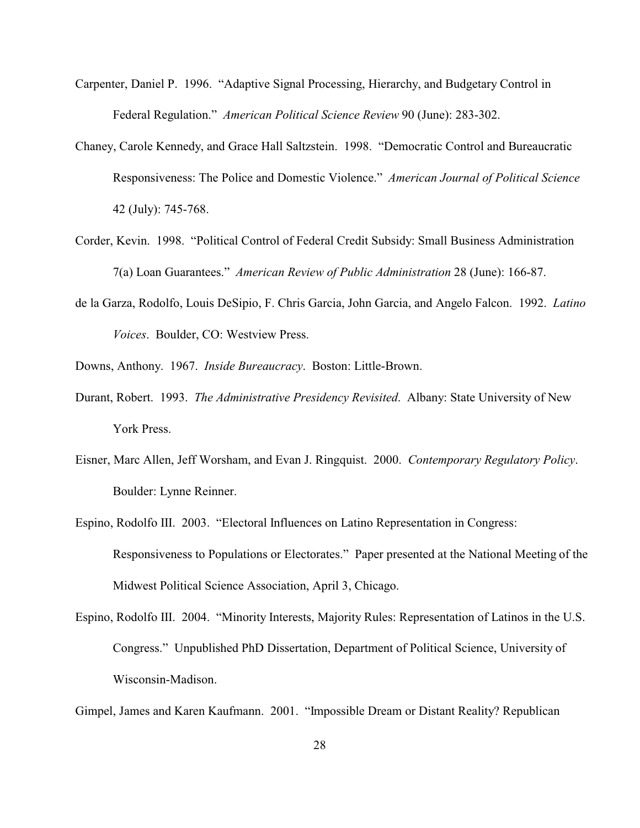- Carpenter, Daniel P. 1996. "Adaptive Signal Processing, Hierarchy, and Budgetary Control in Federal Regulation." *American Political Science Review* 90 (June): 283-302.
- Chaney, Carole Kennedy, and Grace Hall Saltzstein. 1998. "Democratic Control and Bureaucratic Responsiveness: The Police and Domestic Violence." *American Journal of Political Science* 42 (July): 745-768.
- Corder, Kevin. 1998. "Political Control of Federal Credit Subsidy: Small Business Administration 7(a) Loan Guarantees." *American Review of Public Administration* 28 (June): 166-87.
- de la Garza, Rodolfo, Louis DeSipio, F. Chris Garcia, John Garcia, and Angelo Falcon. 1992. *Latino Voices*. Boulder, CO: Westview Press.
- Downs, Anthony. 1967. *Inside Bureaucracy*. Boston: Little-Brown.
- Durant, Robert. 1993. *The Administrative Presidency Revisited*. Albany: State University of New York Press.
- Eisner, Marc Allen, Jeff Worsham, and Evan J. Ringquist. 2000. *Contemporary Regulatory Policy*. Boulder: Lynne Reinner.
- Espino, Rodolfo III. 2003. "Electoral Influences on Latino Representation in Congress: Responsiveness to Populations or Electorates." Paper presented at the National Meeting of the Midwest Political Science Association, April 3, Chicago.
- Espino, Rodolfo III. 2004. "Minority Interests, Majority Rules: Representation of Latinos in the U.S. Congress." Unpublished PhD Dissertation, Department of Political Science, University of Wisconsin-Madison.

Gimpel, James and Karen Kaufmann. 2001. "Impossible Dream or Distant Reality? Republican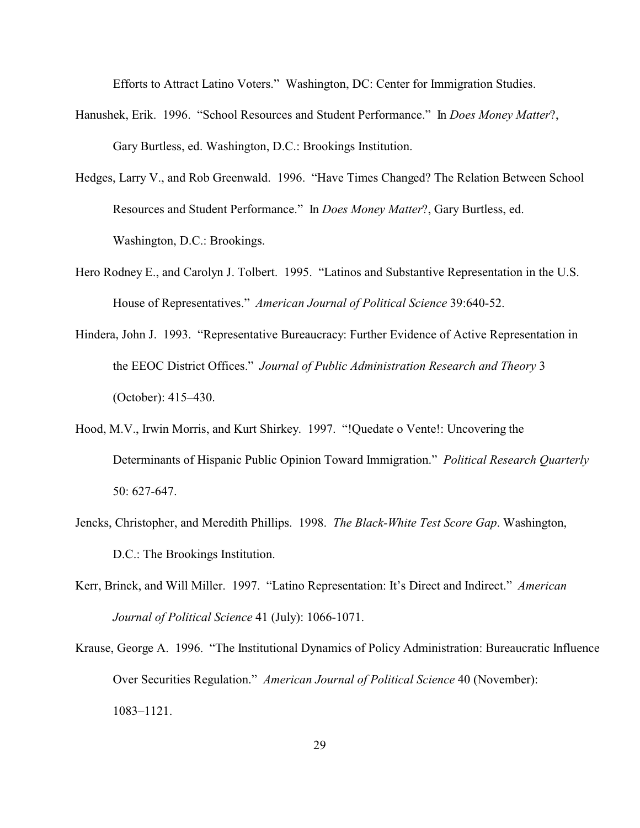Efforts to Attract Latino Voters." Washington, DC: Center for Immigration Studies.

- Hanushek, Erik. 1996. "School Resources and Student Performance." In *Does Money Matter*?, Gary Burtless, ed. Washington, D.C.: Brookings Institution.
- Hedges, Larry V., and Rob Greenwald. 1996. "Have Times Changed? The Relation Between School Resources and Student Performance." In *Does Money Matter*?, Gary Burtless, ed. Washington, D.C.: Brookings.
- Hero Rodney E., and Carolyn J. Tolbert. 1995. "Latinos and Substantive Representation in the U.S. House of Representatives." *American Journal of Political Science* 39:640-52.
- Hindera, John J. 1993. "Representative Bureaucracy: Further Evidence of Active Representation in the EEOC District Offices." *Journal of Public Administration Research and Theory* 3 (October): 415–430.
- Hood, M.V., Irwin Morris, and Kurt Shirkey. 1997. "!Quedate o Vente!: Uncovering the Determinants of Hispanic Public Opinion Toward Immigration." *Political Research Quarterly* 50: 627-647.
- Jencks, Christopher, and Meredith Phillips. 1998. *The Black-White Test Score Gap*. Washington, D.C.: The Brookings Institution.
- Kerr, Brinck, and Will Miller. 1997. "Latino Representation: It's Direct and Indirect." *American Journal of Political Science* 41 (July): 1066-1071.
- Krause, George A. 1996. "The Institutional Dynamics of Policy Administration: Bureaucratic Influence Over Securities Regulation." *American Journal of Political Science* 40 (November): 1083–1121.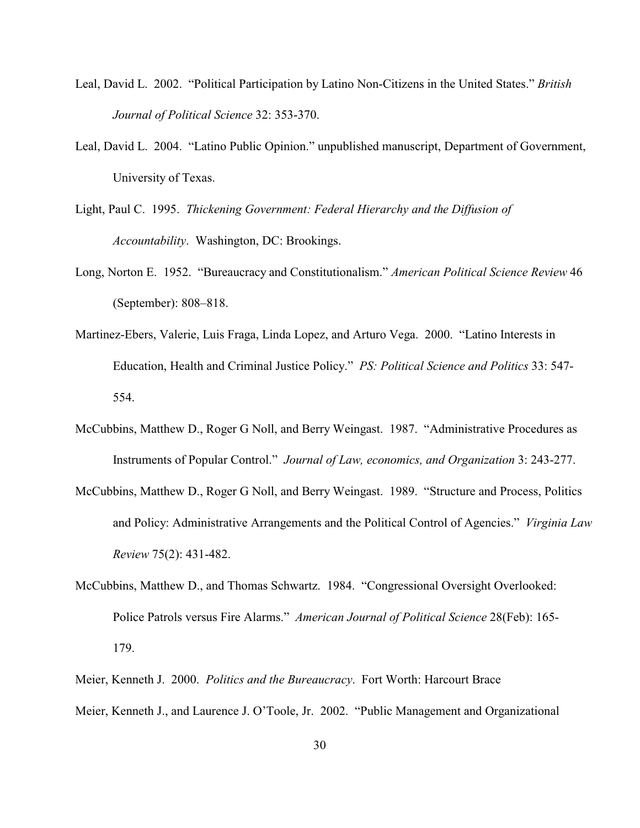- Leal, David L. 2002. "Political Participation by Latino Non-Citizens in the United States." *British Journal of Political Science* 32: 353-370.
- Leal, David L. 2004. "Latino Public Opinion." unpublished manuscript, Department of Government, University of Texas.
- Light, Paul C. 1995. *Thickening Government: Federal Hierarchy and the Diffusion of Accountability*. Washington, DC: Brookings.
- Long, Norton E. 1952. "Bureaucracy and Constitutionalism." *American Political Science Review* 46 (September): 808–818.
- Martinez-Ebers, Valerie, Luis Fraga, Linda Lopez, and Arturo Vega. 2000. "Latino Interests in Education, Health and Criminal Justice Policy." *PS: Political Science and Politics* 33: 547- 554.
- McCubbins, Matthew D., Roger G Noll, and Berry Weingast. 1987. "Administrative Procedures as Instruments of Popular Control." *Journal of Law, economics, and Organization* 3: 243-277.
- McCubbins, Matthew D., Roger G Noll, and Berry Weingast. 1989. "Structure and Process, Politics and Policy: Administrative Arrangements and the Political Control of Agencies." *Virginia Law Review* 75(2): 431-482.
- McCubbins, Matthew D., and Thomas Schwartz. 1984. "Congressional Oversight Overlooked: Police Patrols versus Fire Alarms." *American Journal of Political Science* 28(Feb): 165- 179.
- Meier, Kenneth J. 2000. *Politics and the Bureaucracy*. Fort Worth: Harcourt Brace Meier, Kenneth J., and Laurence J. O'Toole, Jr. 2002. "Public Management and Organizational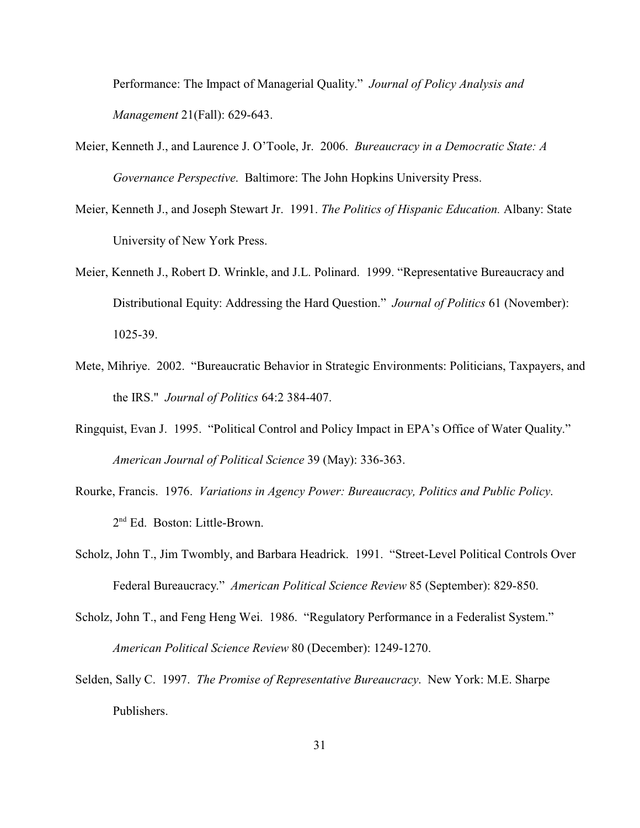Performance: The Impact of Managerial Quality." *Journal of Policy Analysis and Management* 21(Fall): 629-643.

- Meier, Kenneth J., and Laurence J. O'Toole, Jr. 2006. *Bureaucracy in a Democratic State: A Governance Perspective*. Baltimore: The John Hopkins University Press.
- Meier, Kenneth J., and Joseph Stewart Jr. 1991. *The Politics of Hispanic Education.* Albany: State University of New York Press.
- Meier, Kenneth J., Robert D. Wrinkle, and J.L. Polinard. 1999. "Representative Bureaucracy and Distributional Equity: Addressing the Hard Question." *Journal of Politics* 61 (November): 1025-39.
- Mete, Mihriye. 2002. "Bureaucratic Behavior in Strategic Environments: Politicians, Taxpayers, and the IRS." *Journal of Politics* 64:2 384-407.
- Ringquist, Evan J. 1995. "Political Control and Policy Impact in EPA's Office of Water Quality." *American Journal of Political Science* 39 (May): 336-363.
- Rourke, Francis. 1976. *Variations in Agency Power: Bureaucracy, Politics and Public Policy*. 2 nd Ed. Boston: Little-Brown.
- Scholz, John T., Jim Twombly, and Barbara Headrick. 1991. "Street-Level Political Controls Over Federal Bureaucracy." *American Political Science Review* 85 (September): 829-850.
- Scholz, John T., and Feng Heng Wei. 1986. "Regulatory Performance in a Federalist System." *American Political Science Review* 80 (December): 1249-1270.
- Selden, Sally C. 1997. *The Promise of Representative Bureaucracy*. New York: M.E. Sharpe Publishers.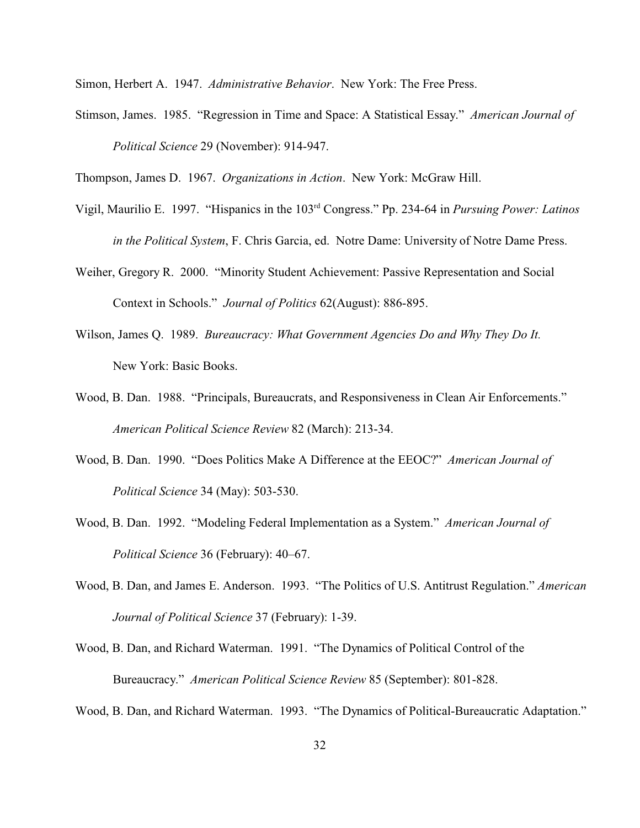Simon, Herbert A. 1947. *Administrative Behavior*. New York: The Free Press.

Stimson, James. 1985. "Regression in Time and Space: A Statistical Essay." *American Journal of Political Science* 29 (November): 914-947.

Thompson, James D. 1967. *Organizations in Action*. New York: McGraw Hill.

- Vigil, Maurilio E. 1997. "Hispanics in the 103rd Congress." Pp. 234-64 in *Pursuing Power: Latinos in the Political System*, F. Chris Garcia, ed. Notre Dame: University of Notre Dame Press.
- Weiher, Gregory R. 2000. "Minority Student Achievement: Passive Representation and Social Context in Schools." *Journal of Politics* 62(August): 886-895.
- Wilson, James Q. 1989. *Bureaucracy: What Government Agencies Do and Why They Do It.*  New York: Basic Books.
- Wood, B. Dan. 1988. "Principals, Bureaucrats, and Responsiveness in Clean Air Enforcements." *American Political Science Review* 82 (March): 213-34.
- Wood, B. Dan. 1990. "Does Politics Make A Difference at the EEOC?" *American Journal of Political Science* 34 (May): 503-530.
- Wood, B. Dan. 1992. "Modeling Federal Implementation as a System." *American Journal of Political Science* 36 (February): 40–67.
- Wood, B. Dan, and James E. Anderson. 1993. "The Politics of U.S. Antitrust Regulation." *American Journal of Political Science* 37 (February): 1-39.
- Wood, B. Dan, and Richard Waterman. 1991. "The Dynamics of Political Control of the Bureaucracy." *American Political Science Review* 85 (September): 801-828.

Wood, B. Dan, and Richard Waterman. 1993. "The Dynamics of Political-Bureaucratic Adaptation."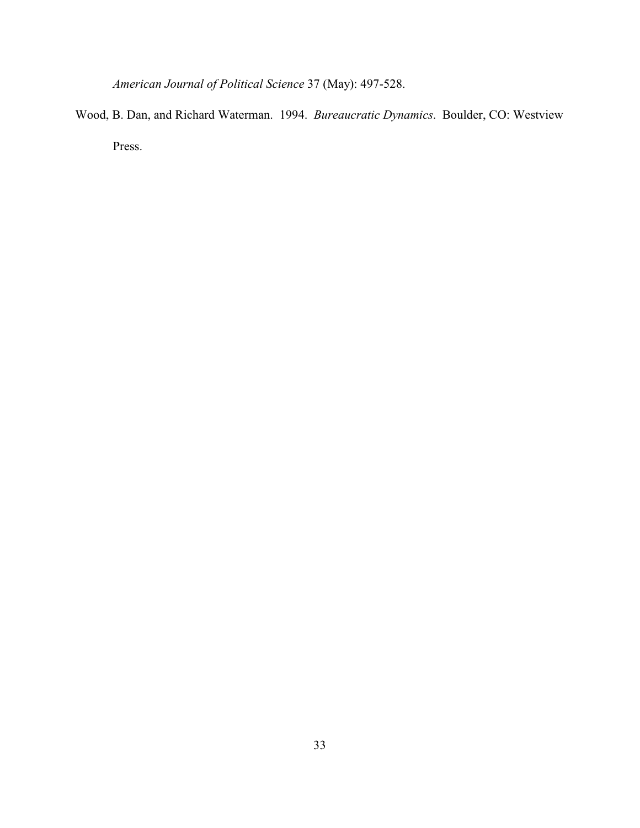*American Journal of Political Science* 37 (May): 497-528.

Wood, B. Dan, and Richard Waterman. 1994. *Bureaucratic Dynamics*. Boulder, CO: Westview Press.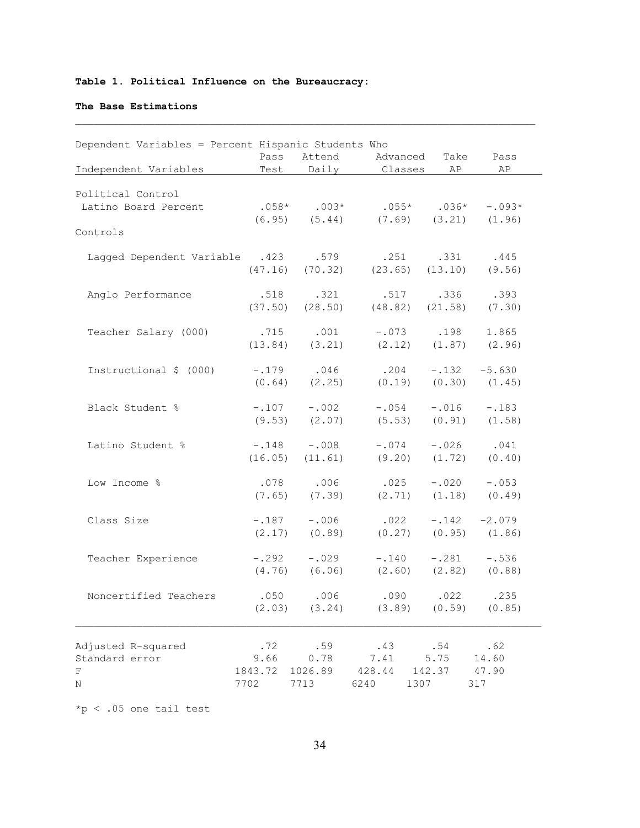# **Table 1. Political Influence on the Bureaucracy:**

## **The Base Estimations**

|                                | Pass    | Attend        | Advanced     | Take    | Pass     |
|--------------------------------|---------|---------------|--------------|---------|----------|
| Independent Variables          | Test    | Daily         | Classes      | AP      | AP       |
|                                |         |               |              |         |          |
| Political Control              |         |               |              |         |          |
| Latino Board Percent           |         | $.058*$ .003* | $.055*$      | $.036*$ | $-.093*$ |
|                                | (6.95)  | (5.44)        | (7.69)       | (3.21)  | (1.96)   |
| Controls                       |         |               |              |         |          |
| Lagged Dependent Variable .423 |         | .579          | .251         | .331    | .445     |
|                                | (47.16) | (70.32)       | (23.65)      | (13.10) | (9.56)   |
| Anglo Performance              | .518    | .321          | .517         | .336    | .393     |
|                                | (37.50) | (28.50)       | (48.82)      | (21.58) | (7.30)   |
| Teacher Salary (000)           | .715    | .001          | $-.073$      | .198    | 1.865    |
|                                | (13.84) | (3.21)        | (2.12)       | (1.87)  | (2.96)   |
|                                |         |               |              |         |          |
| Instructional \$ (000)         | $-.179$ | .046          | .204         | $-.132$ | $-5.630$ |
|                                | (0.64)  | (2.25)        | (0.19)       | (0.30)  | (1.45)   |
| Black Student %                | $-.107$ | $-.002$       | $-.054$      | $-.016$ | $-.183$  |
|                                | (9.53)  | (2.07)        | (5.53)       | (0.91)  | (1.58)   |
| Latino Student %               | $-.148$ | $-.008$       | $-.074$      | $-.026$ | .041     |
|                                | (16.05) | (11.61)       | (9.20)       | (1.72)  | (0.40)   |
| Low Income %                   | .078    | .006          | .025         | $-.020$ | $-.053$  |
|                                | (7.65)  | (7.39)        | (2.71)       | (1.18)  | (0.49)   |
|                                |         |               |              |         |          |
| Class Size                     | $-.187$ | $-.006$       | .022         | $-.142$ | $-2.079$ |
|                                | (2.17)  | (0.89)        | (0.27)       | (0.95)  | (1.86)   |
| Teacher Experience             | $-.292$ | $-.029$       | $-.140$      | $-.281$ | $-.536$  |
|                                | (4.76)  | (6.06)        | (2.60)       | (2.82)  | (0.88)   |
| Noncertified Teachers          | .050    | .006          | .090         | .022    | .235     |
|                                | (2.03)  | (3.24)        | (3.89)       | (0.59)  | (0.85)   |
|                                |         |               |              |         |          |
| Adjusted R-squared             | .72     | .59           | .43          | .54     | .62      |
| Standard error                 | 9.66    | 0.78          | 7.41         | 5.75    | 14.60    |
| F                              | 1843.72 | 1026.89       | 428.44       | 142.37  | 47.90    |
| $\rm N$                        | 7702    | 7713          | 6240<br>1307 |         | 317      |

\*p < .05 one tail test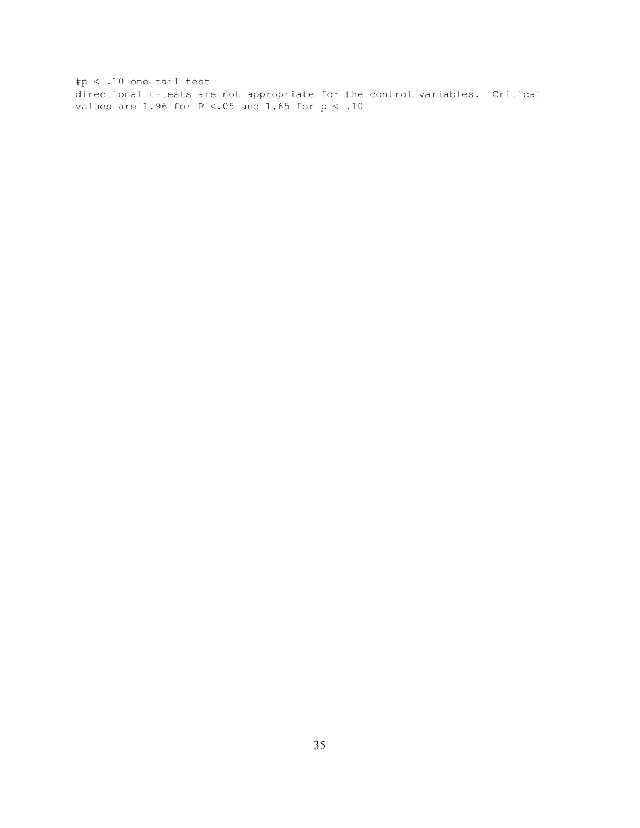#p < .10 one tail test directional t-tests are not appropriate for the control variables. Critical values are 1.96 for  $P < .05$  and 1.65 for  $p < .10$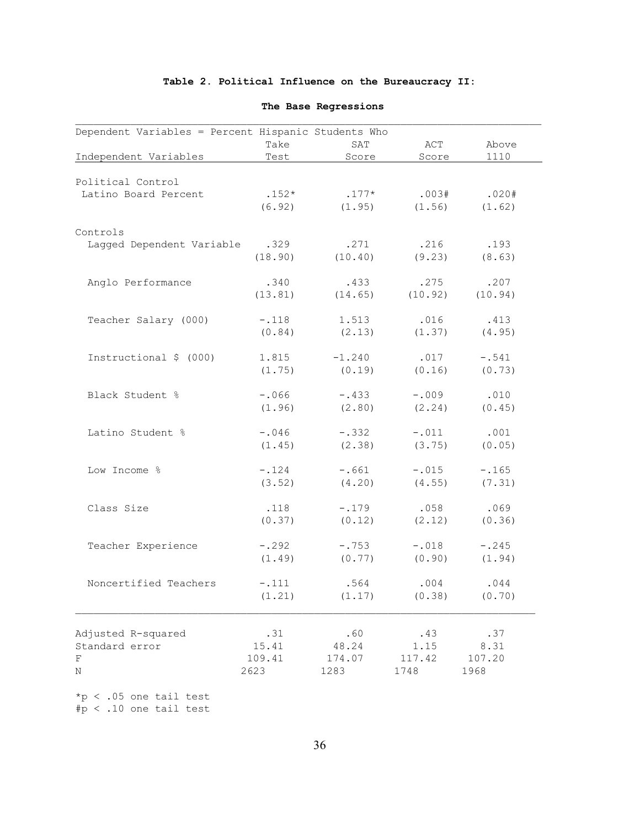# **Table 2. Political Influence on the Bureaucracy II:**

| Dependent Variables = Percent Hispanic Students Who |         |          |         |         |
|-----------------------------------------------------|---------|----------|---------|---------|
|                                                     | Take    | SAT      | ACT     | Above   |
| Independent Variables                               | Test    | Score    | Score   | 1110    |
| Political Control                                   |         |          |         |         |
| Latino Board Percent                                | $.152*$ | $.177*$  | .003#   | .020#   |
|                                                     | (6.92)  | (1.95)   | (1.56)  | (1.62)  |
|                                                     |         |          |         |         |
| Controls                                            |         |          |         |         |
| Lagged Dependent Variable                           | .329    | .271     | .216    | .193    |
|                                                     | (18.90) | (10.40)  | (9.23)  | (8.63)  |
| Anglo Performance                                   | .340    | .433     | .275    | .207    |
|                                                     | (13.81) | (14.65)  | (10.92) | (10.94) |
|                                                     |         |          |         |         |
| Teacher Salary (000)                                | $-.118$ | 1.513    | .016    | .413    |
|                                                     | (0.84)  | (2.13)   | (1.37)  | (4.95)  |
| Instructional \$ (000)                              | 1.815   | $-1.240$ | .017    | $-.541$ |
|                                                     | (1.75)  | (0.19)   | (0.16)  | (0.73)  |
|                                                     |         |          |         |         |
| Black Student %                                     | $-.066$ | $-.433$  | $-.009$ | .010    |
|                                                     | (1.96)  | (2.80)   | (2.24)  | (0.45)  |
| Latino Student %                                    | $-.046$ | $-.332$  | $-.011$ | .001    |
|                                                     | (1.45)  | (2.38)   | (3.75)  | (0.05)  |
|                                                     |         |          |         |         |
| Low Income %                                        | $-.124$ | $-.661$  | $-.015$ | $-.165$ |
|                                                     | (3.52)  | (4.20)   | (4.55)  | (7.31)  |
| Class Size                                          | .118    | $-.179$  | .058    | .069    |
|                                                     | (0.37)  | (0.12)   | (2.12)  | (0.36)  |
|                                                     |         |          |         |         |
| Teacher Experience                                  | $-.292$ | $-.753$  | $-.018$ | $-.245$ |
|                                                     | (1.49)  | (0.77)   | (0.90)  | (1.94)  |
| Noncertified Teachers                               | $-.111$ | .564     | .004    | .044    |
|                                                     | (1.21)  | (1.17)   | (0.38)  | (0.70)  |
|                                                     |         |          |         |         |
| Adjusted R-squared                                  | .31     | .60      | .43     | .37     |
| Standard error                                      | 15.41   | 48.24    | 1.15    | 8.31    |
| F                                                   | 109.41  | 174.07   | 117.42  | 107.20  |
| Ν                                                   | 2623    | 1283     | 1748    | 1968    |
|                                                     |         |          |         |         |
| $*p < .05$ one tail test                            |         |          |         |         |

# **The Base Regressions**

#p < .10 one tail test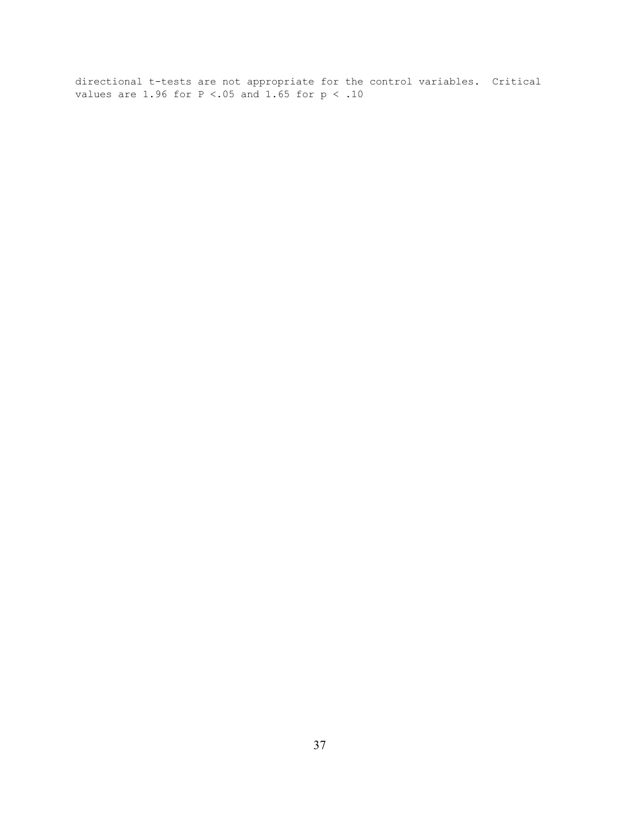directional t-tests are not appropriate for the control variables. Critical values are 1.96 for  $P < .05$  and 1.65 for  $p < .10$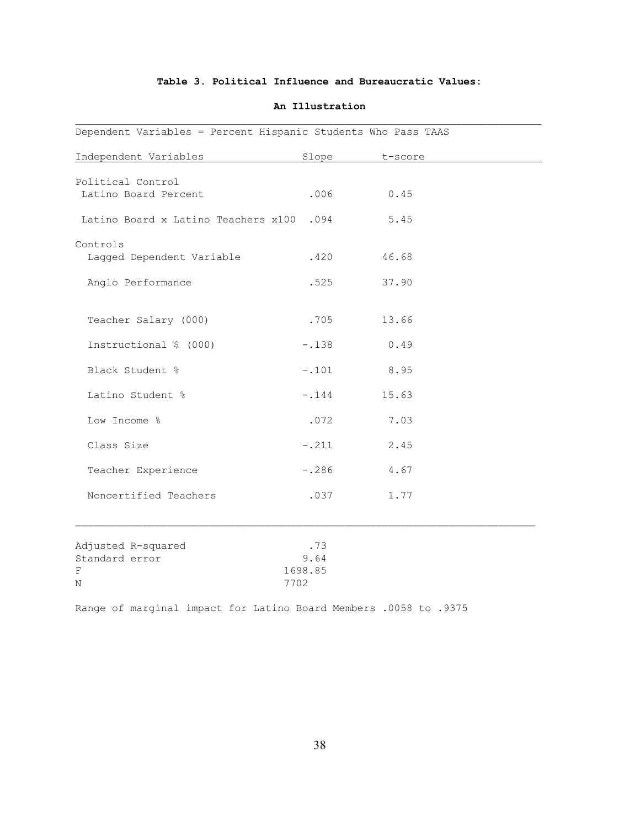## **Table 3. Political Influence and Bureaucratic Values:**

| Dependent Variables = Percent Hispanic Students Who Pass TAAS |                                |         |  |
|---------------------------------------------------------------|--------------------------------|---------|--|
| Independent Variables                                         | Slope                          | t-score |  |
| Political Control<br>Latino Board Percent                     | .006                           | 0.45    |  |
| Latino Board x Latino Teachers x100 .094                      |                                | 5.45    |  |
| Controls<br>Lagged Dependent Variable                         | .420                           | 46.68   |  |
| Anglo Performance                                             | .525                           | 37.90   |  |
| Teacher Salary (000)                                          | .705                           | 13.66   |  |
| Instructional \$ (000)                                        | $-.138$                        | 0.49    |  |
| Black Student %                                               | $-.101$                        | 8.95    |  |
| Latino Student %                                              | $-.144$                        | 15.63   |  |
| Low Income %                                                  | .072                           | 7.03    |  |
| Class Size                                                    | $-.211$                        | 2.45    |  |
| Teacher Experience                                            | $-.286$                        | 4.67    |  |
| Noncertified Teachers                                         | .037                           | 1.77    |  |
| Adjusted R-squared<br>Standard error<br>$\mathbf F$<br>Ν      | .73<br>9.64<br>1698.85<br>7702 |         |  |
|                                                               |                                |         |  |

#### **An Illustration**

Range of marginal impact for Latino Board Members .0058 to .9375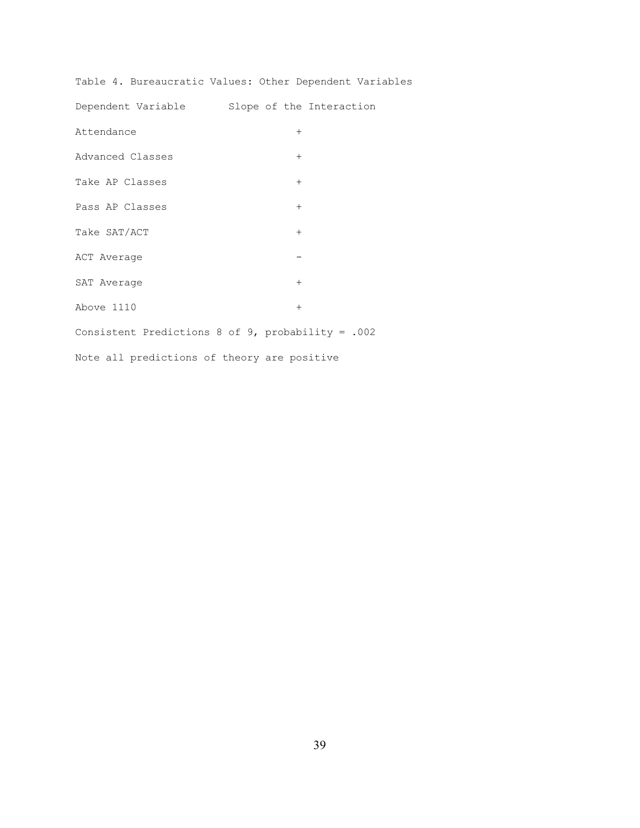Table 4. Bureaucratic Values: Other Dependent Variables

Dependent Variable Slope of the Interaction Attendance + Advanced Classes + Take AP Classes + Pass AP Classes  $+$ Take SAT/ACT + ACT Average  $-$ SAT Average  $+$  $\Delta$ bove 1110 + Consistent Predictions 8 of 9, probability = .002 Note all predictions of theory are positive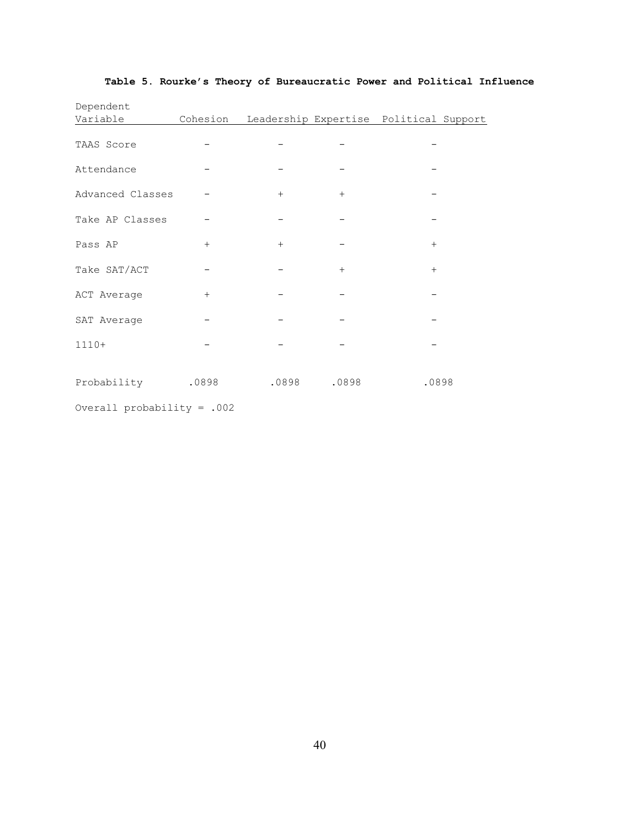| Dependent         |     |                                                 |       |       |  |
|-------------------|-----|-------------------------------------------------|-------|-------|--|
| Variable          |     | Cohesion Leadership Expertise Political Support |       |       |  |
| TAAS Score        |     |                                                 |       |       |  |
| Attendance        |     |                                                 |       |       |  |
| Advanced Classes  |     | $+$                                             | $+$   |       |  |
| Take AP Classes   |     |                                                 |       |       |  |
| Pass AP           | $+$ | $+$                                             |       | $+$   |  |
| Take SAT/ACT      |     |                                                 | $+$   | $+$   |  |
| ACT Average       | $+$ |                                                 |       |       |  |
| SAT Average       |     |                                                 |       |       |  |
| $1110+$           |     |                                                 |       |       |  |
| Probability .0898 |     | .0898                                           | .0898 | .0898 |  |

# **Table 5. Rourke's Theory of Bureaucratic Power and Political Influence**

Overall probability = .002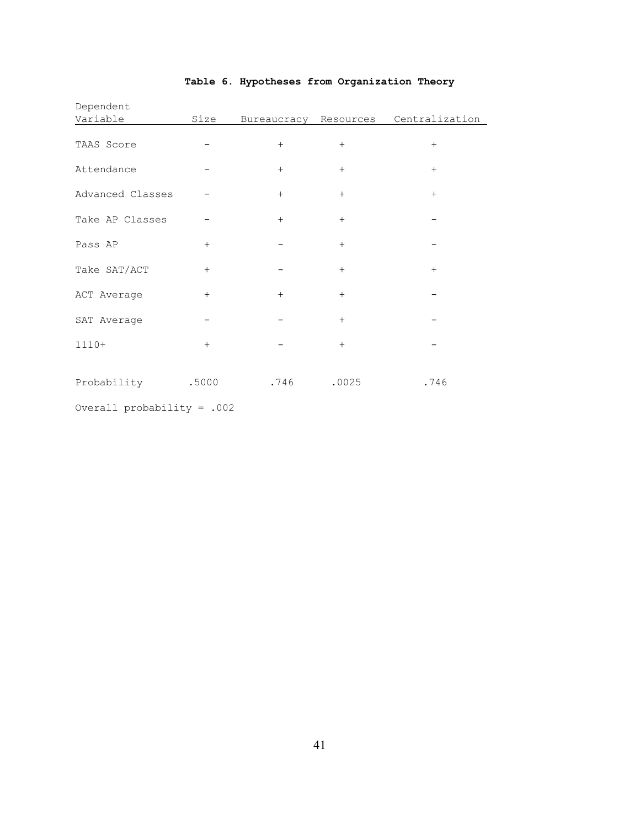| Dependent        |       |                       |       |                |
|------------------|-------|-----------------------|-------|----------------|
| Variable         | Size  | Bureaucracy Resources |       | Centralization |
| TAAS Score       |       | $+$                   | $+$   | $+$            |
| Attendance       |       | $+$                   | $+$   | $+$            |
| Advanced Classes |       | $+$                   | $+$   | $+$            |
| Take AP Classes  |       | $+$                   | $+$   |                |
| Pass AP          | $+$   |                       | $+$   |                |
| Take SAT/ACT     | $+$   |                       | $+$   | $+$            |
| ACT Average      | $+$   | $+$                   | $+$   |                |
| SAT Average      |       |                       | $+$   |                |
| $1110+$          | $+$   |                       | $+$   |                |
| Probability      | .5000 | .746                  | .0025 | .746           |

# **Table 6. Hypotheses from Organization Theory**

Overall probability = .002